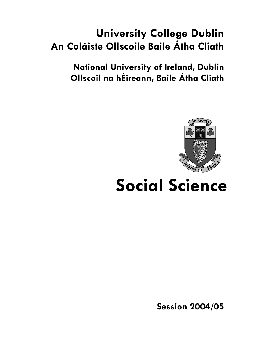# **University College Dublin An Coláiste Ollscoile Baile Átha Cliath**

**National University of Ireland, Dublin Ollscoil na hÉireann, Baile Átha Cliath** 



# **Social Science**

**Session 2004/05**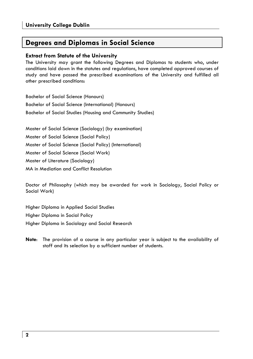# **Degrees and Diplomas in Social Science**

#### **Extract from Statute of the University**

The University may grant the following Degrees and Diplomas to students who, under conditions laid down in the statutes and regulations, have completed approved courses of study and have passed the prescribed examinations of the University and fulfilled all other prescribed conditions:

Bachelor of Social Science (Honours) Bachelor of Social Science (International) (Honours) Bachelor of Social Studies (Housing and Community Studies)

Master of Social Science (Sociology) (by examination) Master of Social Science (Social Policy) Master of Social Science (Social Policy) (International) Master of Social Science (Social Work) Master of Literature (Sociology) MA in Mediation and Conflict Resolution

Doctor of Philosophy (which may be awarded for work in Sociology, Social Policy or Social Work)

Higher Diploma in Applied Social Studies Higher Diploma in Social Policy Higher Diploma in Sociology and Social Research

**Note**: The provision of a course in any particular year is subject to the availability of staff and its selection by a sufficient number of students.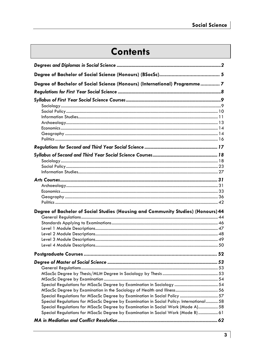# **Contents**

| Degree of Bachelor of Social Science (Honours) (International) Programme 7                                                                                           |  |
|----------------------------------------------------------------------------------------------------------------------------------------------------------------------|--|
|                                                                                                                                                                      |  |
|                                                                                                                                                                      |  |
|                                                                                                                                                                      |  |
|                                                                                                                                                                      |  |
|                                                                                                                                                                      |  |
|                                                                                                                                                                      |  |
|                                                                                                                                                                      |  |
|                                                                                                                                                                      |  |
|                                                                                                                                                                      |  |
|                                                                                                                                                                      |  |
|                                                                                                                                                                      |  |
|                                                                                                                                                                      |  |
|                                                                                                                                                                      |  |
|                                                                                                                                                                      |  |
|                                                                                                                                                                      |  |
|                                                                                                                                                                      |  |
|                                                                                                                                                                      |  |
|                                                                                                                                                                      |  |
|                                                                                                                                                                      |  |
| Degree of Bachelor of Social Studies (Housing and Community Studies) (Honours) 44                                                                                    |  |
|                                                                                                                                                                      |  |
|                                                                                                                                                                      |  |
|                                                                                                                                                                      |  |
|                                                                                                                                                                      |  |
|                                                                                                                                                                      |  |
|                                                                                                                                                                      |  |
|                                                                                                                                                                      |  |
|                                                                                                                                                                      |  |
|                                                                                                                                                                      |  |
|                                                                                                                                                                      |  |
|                                                                                                                                                                      |  |
|                                                                                                                                                                      |  |
|                                                                                                                                                                      |  |
| Special Regulations for MSocSc Degree by Examination in Social Policy  57<br>Special Regulations for MSocSc Degree by Examination in Social Policy: International 58 |  |
| Special Regulations for MSocSc Degree by Examination in Social Work (Mode A) 58                                                                                      |  |
| Special Regulations for MSocSc Degree by Examination in Social Work (Mode B)  61                                                                                     |  |
|                                                                                                                                                                      |  |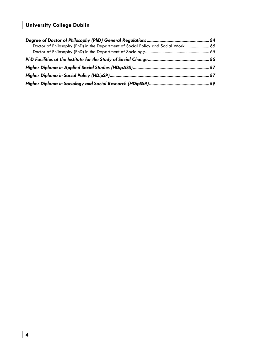| Doctor of Philosophy (PhD) in the Department of Social Policy and Social Work  65 |  |
|-----------------------------------------------------------------------------------|--|
|                                                                                   |  |
|                                                                                   |  |
|                                                                                   |  |
|                                                                                   |  |
|                                                                                   |  |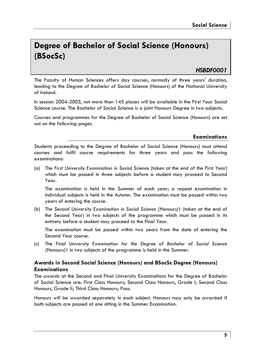# **Degree of Bachelor of Social Science (Honours) (BSocSc)**

# *HSBDF0001*

The Faculty of Human Sciences offers day courses, normally of three years' duration, leading to the Degree of Bachelor of Social Science (Honours) of the National University of Ireland.

In session 2004-2005, not more than 145 places will be available in the First Year Social Science course. The Bachelor of Social Science is a joint Honours Degree in two subjects.

Courses and programmes for the Degree of Bachelor of Social Science (Honours) are set out on the following pages.

#### **Examinations**

Students proceeding to the Degree of Bachelor of Social Science (Honours) must attend courses and fulfil course requirements for three years and pass the following examinations:

(a) The *First University Examination in Social Science* (taken at the end of the First Year) which must be passed in three subjects before a student may proceed to Second Year.

The examination is held in the Summer of each year; a repeat examination in individual subjects is held in the Autumn. The examination must be passed within two years of entering the course.

(b) The *Second University Examination in Social Science (Honours)*† (taken at the end of the Second Year) in two subjects of the programme which must be passed in its entirety before a student may proceed to the Final Year.

 The examination must be passed within two years from the date of entering the Second Year course.

(c) The *Final University Examination for the Degree of Bachelor of Social Science (Honours)*† in two subjects of the programme is held in the Summer.

### **Awards in Second Social Science (Honours) and BSocSc Degree (Honours) Examinations**

The awards at the Second and Final University Examinations for the Degree of Bachelor of Social Science are: First Class Honours; Second Class Honours, Grade I; Second Class Honours, Grade II; Third Class Honours; Pass.

Honours will be awarded separately in each subject. Honours may only be awarded if both subjects are passed at one sitting in the Summer Examination.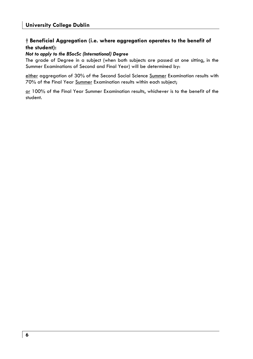### **† Beneficial Aggregation (i.e. where aggregation operates to the benefit of the student):**

#### *Not to apply to the BSocSc (International) Degree*

The grade of Degree in a subject (when both subjects are passed at one sitting, in the Summer Examinations of Second and Final Year) will be determined by:

either aggregation of 30% of the Second Social Science Summer Examination results with 70% of the Final Year Summer Examination results within each subject;

or 100% of the Final Year Summer Examination results, whichever is to the benefit of the student.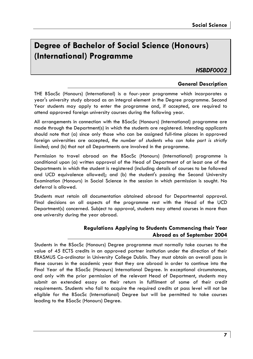# **Degree of Bachelor of Social Science (Honours) (International) Programme**

*HSBDF0002* 

### **General Description**

THE BSocSc (Honours) (International) is a four-year programme which incorporates a year's university study abroad as an integral element in the Degree programme. Second Year students may apply to enter the programme and, if accepted, are required to attend approved foreign university courses during the following year.

All arrangements in connection with the BSocSc (Honours) (International) programme are made through the Department(s) in which the students are registered. Intending applicants should note that (a) since only those who can be assigned full-time places in approved foreign universities are accepted, *the number of students who can take part is strictly limited*; and (b) that not all Departments are involved in the programme.

Permission to travel abroad on the BSocSc (Honours) (International) programme is conditional upon (a) written approval of the Head of Department of at least one of the Departments in which the student is registered (including details of courses to be followed and UCD equivalence allowed); and (b) the student's passing the Second University Examination (Honours) in Social Science in the session in which permission is sought. No deferral is allowed.

Students must retain all documentation obtained abroad for Departmental approval. Final decisions on all aspects of the programme rest with the Head of the UCD Department(s) concerned. Subject to approval, students may attend courses in more than one university during the year abroad.

### **Regulations Applying to Students Commencing their Year Abroad as of September 2004**

Students in the BSocSc (Honours) Degree programme must normally take courses to the value of 45 ECTS credits in an approved partner institution under the direction of their ERASMUS Co-ordinator in University College Dublin. They must obtain an overall pass in these courses in the academic year that they are abroad in order to continue into the Final Year of the BSocSc (Honours) International Degree. In exceptional circumstances, and only with the prior permission of the relevant Head of Department, students may submit an extended essay on their return in fulfilment of some of their credit requirements. Students who fail to acquire the required credits at pass level will not be eligible for the BSocSc (International) Degree but will be permitted to take courses leading to the BSocSc (Honours) Degree.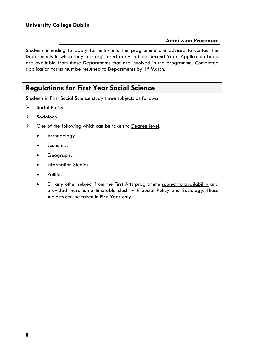### **Admission Procedure**

Students intending to apply for entry into the programme are advised to contact the Departments in which they are registered early in their Second Year. Application forms are available from those Departments that are involved in the programme. Completed application forms must be returned to Departments by 1<sup>st</sup> March.

# **Regulations for First Year Social Science**

Students in First Social Science study three subjects as follows:

- $\triangleright$  Social Policy
- $\triangleright$  Sociology
- $\triangleright$  One of the following which can be taken to Degree level:
	- Archaeology
	- Economics
	- Geography
	- Information Studies
	- **Politics**
	- Or any other subject from the First Arts programme subject to availability and provided there is no timetable clash with Social Policy and Sociology. These subjects can be taken in First Year only.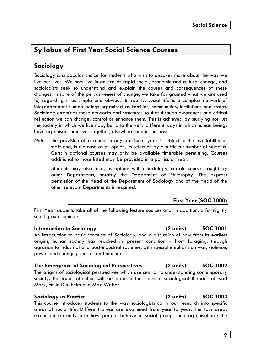# **Syllabus of First Year Social Science Courses**

# **Sociology**

Sociology is a popular choice for students who wish to discover more about the way we live our lives. We now live in an era of rapid social, economic and cultural change, and sociologists seek to understand and explain the causes and consequences of these changes. In spite of the pervasiveness of change, we take for granted what we are used to, regarding it as simple and obvious. In reality, social life is a complex network of interdependent human beings organised as families, communities, institutions and states. Sociology examines these networks and structures so that through awareness and critical reflection we can change, control or enhance them. This is achieved by studying not just the society in which we live now, but also the very different ways in which human beings have organised their lives together, elsewhere and in the past.

*Note:* the provision of a course in any particular year is subject to the availability of staff and, in the case of an option, its selection by a sufficient number of students. Certain optional courses may only be available timetable permitting. Courses additional to those listed may be provided in a particular year.

 Students may also take, as options within Sociology, certain courses taught by other Departments, notably the Department of Philosophy. The express permission of the Head of the Department of Sociology and of the Head of the other relevant Departments is required.

### **First Year (SOC 1000)**

First Year students take all of the following lecture courses and, in addition, a fortnightly small group seminar:

#### **Introduction to Sociology (2 units) SOC 1001**

An introduction to basic concepts of Sociology, and a discussion of how from its earliest origins, human society has reached its present condition – from foraging, through agrarian to industrial and post-industrial societies, with special emphasis on war, violence, power and changing morals and manners.

### **The Emergence of Sociological Perspectives (2 units) SOC 1002**

The origins of sociological perspectives which are central to understanding contemporary society. Particular attention will be paid to the classical sociological theories of Karl Marx, Emile Durkheim and Max Weber.

#### **Sociology in Practice (2 units) SOC 1003**

This course introduces students to the way sociologists carry out research into specific areas of social life. Different areas are examined from year to year. The four areas examined currently are: how people behave in social groups and organisations; the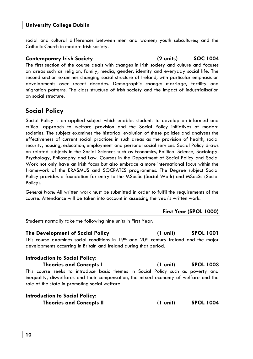social and cultural differences between men and women; youth subcultures; and the Catholic Church in modern Irish society.

#### **Contemporary Irish Society (2 units) SOC 1004**

The first section of the course deals with changes in Irish society and culture and focuses on areas such as religion, family, media, gender, identity and everyday social life. The second section examines changing social structure of Ireland, with particular emphasis on developments over recent decades. Demographic change: marriage, fertility and migration patterns. The class structure of Irish society and the impact of industrialisation on social structure.

# **Social Policy**

Social Policy is an applied subject which enables students to develop an informed and critical approach to welfare provision and the Social Policy initiatives of modern societies. The subject examines the historical evolution of these policies and analyses the effectiveness of current social practices in such areas as the provision of health, social security, housing, education, employment and personal social services. Social Policy draws on related subjects in the Social Sciences such as Economics, Political Science, Sociology, Psychology, Philosophy and Law. Courses in the Department of Social Policy and Social Work not only have an Irish focus but also embrace a more international focus within the framework of the ERASMUS and SOCRATES programmes. The Degree subject Social Policy provides a foundation for entry to the MSocSc (Social Work) and MSocSc (Social Policy).

*General Note*: All written work must be submitted in order to fulfil the requirements of the course. Attendance will be taken into account in assessing the year's written work.

### **First Year (SPOL 1000)**

Students normally take the following nine units in First Year:

**The Development of Social Policy (1 unit) SPOL 1001**  This course examines social conditions in  $19<sup>th</sup>$  and  $20<sup>th</sup>$  century Ireland and the major developments occurring in Britain and Ireland during that period.

### **Introduction to Social Policy:**

**Theories and Concepts I (1 unit) SPOL 1003**  This course seeks to introduce basic themes in Social Policy such as poverty and inequality, diswelfares and their compensation, the mixed economy of welfare and the role of the state in promoting social welfare.

| <b>Introduction to Social Policy:</b> |          |                  |
|---------------------------------------|----------|------------------|
| <b>Theories and Concepts II</b>       | (1 unit) | <b>SPOL 1004</b> |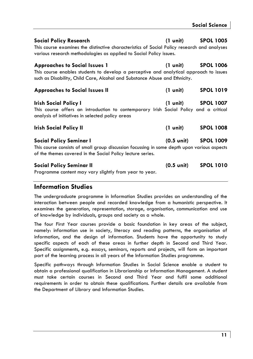| Social Policy Research<br>This course examines the distinctive characteristics of Social Policy research and analyses<br>various research methodologies as applied to Social Policy issues.                  | $(1 \text{ unit})$   | <b>SPOL 1005</b>             |
|--------------------------------------------------------------------------------------------------------------------------------------------------------------------------------------------------------------|----------------------|------------------------------|
| <b>Approaches to Social Issues 1</b><br>This course enables students to develop a perceptive and analytical approach to issues<br>such as Disability, Child Care, Alcohol and Substance Abuse and Ethnicity. | (1 unit)             | <b>SPOL 1006</b>             |
| <b>Approaches to Social Issues II</b>                                                                                                                                                                        | (1 unit)             | <b>SPOL 1019</b>             |
| Irish Social Policy I<br>This course offers an introduction to contemporary Irish Social Policy and a critical<br>analysis of initiatives in selected policy areas                                           |                      | $(1 \text{ unit})$ SPOL 1007 |
| <b>Irish Social Policy II</b>                                                                                                                                                                                | (1 unit)             | <b>SPOL 1008</b>             |
| <b>Social Policy Seminar I</b><br>This course consists of small group discussion focussing in some depth upon various aspects<br>of the themes covered in the Social Policy lecture series.                  | (0.5 unit) SPOL 1009 |                              |
| <b>Social Policy Seminar II</b><br>Programme content may vary slightly from year to year.                                                                                                                    | $(0.5 \text{ unit})$ | <b>SPOL 1010</b>             |

# **Information Studies**

The undergraduate programme in Information Studies provides an understanding of the interaction between people and recorded knowledge from a humanistic perspective. It examines the generation, representation, storage, organisation, communication and use of knowledge by individuals, groups and society as a whole.

The four First Year courses provide a basic foundation in key areas of the subject, namely: information use in society, literacy and reading patterns, the organisation of information, and the design of information. Students have the opportunity to study specific aspects of each of these areas in further depth in Second and Third Year. Specific assignments, e.g. essays, seminars, reports and projects, will form an important part of the learning process in all years of the Information Studies programme.

Specific pathways through Information Studies in Social Science enable a student to obtain a professional qualification in Librarianship or Information Management. A student must take certain courses in Second and Third Year and fulfil some additional requirements in order to obtain these qualifications. Further details are available from the Department of Library and Information Studies.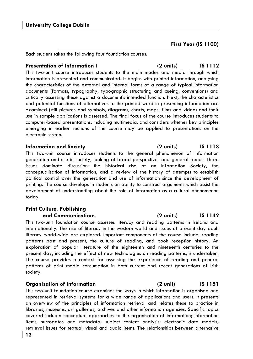**First Year (IS 1100)** 

Each student takes the following four foundation courses:

### **Presentation of Information I (2 units) IS 1112**

This two-unit course introduces students to the main modes and media through which information is presented and communicated. It begins with printed information, analysing the characteristics of the external and internal forms of a range of typical information documents (formats, typography, typographic structuring and cueing, conventions) and critically assessing these against a document's intended function. Next, the characteristics and potential functions of alternatives to the printed word in presenting information are examined (still pictures and symbols, diagrams, charts, maps, films and video) and their use in sample applications is assessed. The final focus of the course introduces students to computer-based presentations, including multimedia, and considers whether key principles emerging in earlier sections of the course may be applied to presentations on the electronic screen.

This two-unit course introduces students to the general phenomenon of information generation and use in society, looking at broad perspectives and general trends. Three issues dominate discussion: the historical rise of an Information Society, the conceptualisation of information, and a review of the history of attempts to establish political control over the generation and use of information since the development of printing. The course develops in students an ability to construct arguments which assist the development of understanding about the role of information as a cultural phenomenon today.

# **Print Culture, Publishing**

This two-unit foundation course assesses literacy and reading patterns in Ireland and internationally. The rise of literacy in the western world and issues of present day adult literacy world-wide are explored. Important components of the course include: reading patterns past and present, the culture of reading, and book reception history. An exploration of popular literature of the eighteenth and nineteenth centuries to the present day, including the effect of new technologies on reading patterns, is undertaken. The course provides a context for assessing the experience of reading and general patterns of print media consumption in both current and recent generations of Irish society.

### **Organisation of Information (2 unit) IS 1151**

This two-unit foundation course examines the ways in which information is organised and represented in retrieval systems for a wide range of applications and users. It presents an overview of the principles of information retrieval and relates these to practice in libraries, museums, art galleries, archives and other information agencies. Specific topics covered include: conceptual approaches to the organisation of information; information items, surrogates and metadata; subject content analysis; electronic data models; retrieval issues for textual, visual and audio items. The relationships between alternative

### **Information and Society (2 units) IS 1113**

#### **and Communications (2 units) IS 1142**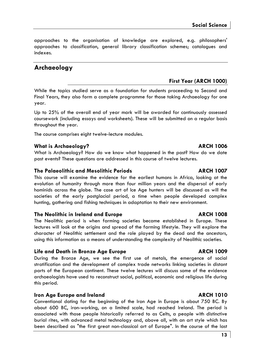approaches to the organisation of knowledge are explored, e.g. philosophers' approaches to classification, general library classification schemes; catalogues and indexes.

# **Archaeology**

### **First Year (ARCH 1000)**

While the topics studied serve as a foundation for students proceeding to Second and Final Years, they also form a complete programme for those taking Archaeology for one year.

Up to 25% of the overall end of year mark will be awarded for continuously assessed coursework (including essays and worksheets). These will be submitted on a regular basis throughout the year.

The course comprises eight twelve-lecture modules.

### **What is Archaeology? ARCH 1006**

What is Archaeology? How do we know what happened in the past? How do we date past events? These questions are addressed in this course of twelve lectures.

#### **The Palaeolithic and Mesolithic Periods ARCH 1007**

This course will examine the evidence for the earliest humans in Africa, looking at the evolution of humanity through more than four million years and the dispersal of early hominids across the globe. The case art of Ice Age hunters will be discussed as will the societies of the early postglacial period, a time when people developed complex hunting, gathering and fishing techniques in adaptation to their new environment.

#### **The Neolithic in Ireland and Europe ARCH 1008**

The Neolithic period is when farming societies became established in Europe. These lectures will look at the origins and spread of the farming lifestyle. They will explore the character of Neolithic settlement and the role played by the dead and the ancestors, using this information as a means of understanding the complexity of Neolithic societies.

#### **Life and Death in Bronze Age Europe ARCH 1009**

During the Bronze Age, we see the first use of metals, the emergence of social stratification and the development of complex trade networks linking societies in distant parts of the European continent. These twelve lectures will discuss some of the evidence archaeologists have used to reconstruct social, political, economic and religious life during this period.

### **Iron Age Europe and Ireland ARCH 1010**

Conventional dating for the beginning of the Iron Age in Europe is about 750 BC. By about 600 BC, iron-working, on a limited scale, had reached Ireland. The period is associated with those people historically referred to as Celts, a people with distinctive burial rites, with advanced metal technology and, above all, with an art style which has been described as "the first great non-classical art of Europe". In the course of the last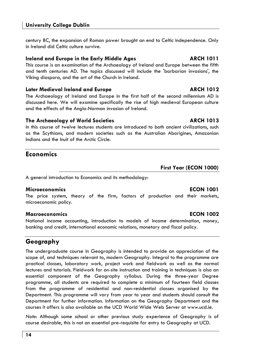century BC, the expansion of Roman power brought an end to Celtic independence. Only in Ireland did Celtic culture survive.

#### **Ireland and Europe in the Early Middle Ages The Construction CRCH 1011**

This course is an examination of the Archaeology of Ireland and Europe between the fifth and tenth centuries AD. The topics discussed will include the 'barbarian invasions', the Viking diaspora, and the art of the Church in Ireland.

#### **Later Medieval Ireland and Europe ARCH 1012**

The Archaeology of Ireland and Europe in the first half of the second millennium AD is discussed here. We will examine specifically the rise of high medieval European culture and the effects of the Anglo-Norman invasion of Ireland.

#### **The Archaeology of World Societies ARCH 1013**

In this course of twelve lectures students are introduced to both ancient civilizations, such as the Scythians, and modern societies such as the Australian Aborigines, Amazonian Indians and the Inuit of the Arctic Circle.

# **Economics**

### A general introduction to Economics and its methodology:

#### **Microeconomics ECON 1001**

The price system, theory of the firm, factors of production and their markets, microeconomic policy.

#### **Macroeconomics ECON 1002**

National income accounting, introduction to models of income determination, money, banking and credit, international economic relations, monetary and fiscal policy.

# **Geography**

The undergraduate course in Geography is intended to provide an appreciation of the scope of, and techniques relevant to, modern Geography. Integral to the programme are practical classes, laboratory work, project work and fieldwork as well as the normal lectures and tutorials. Fieldwork for on-site instruction and training in techniques is also an essential component of the Geography syllabus. During the three-year Degree programme, all students are required to complete a minimum of fourteen field classes from the programme of residential and non-residential classes organised by the Department. This programme will vary from year to year and students should consult the Department for further information. Information on the Geography Department and the courses it offers is also available on the UCD World Wide Web Server at www.ucd.ie.

*Note*: Although some school or other previous study experience of Geography is of course desirable, this is not an essential pre-requisite for entry to Geography at UCD.

**First Year (ECON 1000)**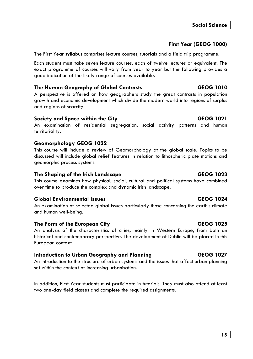### **First Year (GEOG 1000)**

The First Year syllabus comprises lecture courses, tutorials and a field trip programme.

Each student must take seven lecture courses, each of twelve lectures or equivalent. The exact programme of courses will vary from year to year but the following provides a good indication of the likely range of courses available.

#### **The Human Geography of Global Contrasts GEOG 1010**

A perspective is offered on how geographers study the great contrasts in population growth and economic development which divide the modern world into regions of surplus and regions of scarcity.

#### **Society and Space within the City CEOG 1021**

An examination of residential segregation, social activity patterns and human territoriality.

### **Geomorphology GEOG 1022**

This course will include a review of Geomorphology at the global scale. Topics to be discussed will include global relief features in relation to lithospheric plate motions and geomorphic process systems.

### **The Shaping of the Irish Landscape GEOG 1023**

This course examines how physical, social, cultural and political systems have combined over time to produce the complex and dynamic Irish landscape.

### **Global Environmental Issues GEOG 1024**

An examination of selected global issues particularly those concerning the earth's climate and human well-being.

### **The Form of the European City GEOG 1025**

An analysis of the characteristics of cities, mainly in Western Europe, from both an historical and contemporary perspective. The development of Dublin will be placed in this European context.

### **Introduction to Urban Geography and Planning GEOG 1027**

An introduction to the structure of urban systems and the issues that affect urban planning set within the context of increasing urbanisation.

In addition, First Year students must participate in tutorials. They must also attend at least two one-day field classes and complete the required assignments.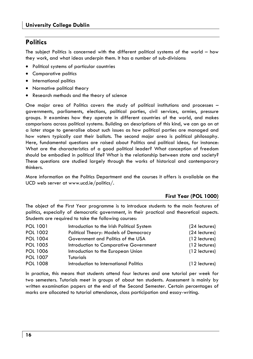# **Politics**

The subject Politics is concerned with the different political systems of the world – how they work, and what ideas underpin them. It has a number of sub-divisions:

- Political systems of particular countries
- Comparative politics
- International politics
- Normative political theory
- Research methods and the theory of science

One major area of Politics covers the study of political institutions and processes – governments, parliaments, elections, political parties, civil services, armies, pressure groups. It examines how they operate in different countries of the world, and makes comparisons across political systems. Building on descriptions of this kind, we can go on at a later stage to generalise about such issues as how political parties are managed and how voters typically cast their ballots. The second major area is political philosophy. Here, fundamental questions are raised about Politics and political ideas, for instance: What are the characteristics of a good political leader? What conception of freedom should be embodied in political life? What is the relationship between state and society? These questions are studied largely through the works of historical and contemporary thinkers.

More information on the Politics Department and the courses it offers is available on the UCD web server at www.ucd.ie/politics/.

### **First Year (POL 1000)**

The object of the First Year programme is to introduce students to the main features of politics, especially of democratic government, in their practical and theoretical aspects. Students are required to take the following courses:

| POL 1001        | Introduction to the Irish Political System | $(24$ lectures) |
|-----------------|--------------------------------------------|-----------------|
| POL 1002        | Political Theory: Models of Democracy      | (24 lectures)   |
| POL 1004        | Government and Politics of the USA         | $(12$ lectures) |
| POL 1005        | Introduction to Comparative Government     | $(12$ lectures) |
| <b>POL 1006</b> | Introduction to the European Union         | $(12$ lectures) |
| POL 1007        | Tutorials                                  |                 |
| <b>POL 1008</b> | Introduction to International Politics     | $(12$ lectures) |

In practice, this means that students attend four lectures and one tutorial per week for two semesters. Tutorials meet in groups of about ten students. Assessment is mainly by written examination papers at the end of the Second Semester. Certain percentages of marks are allocated to tutorial attendance, class participation and essay-writing.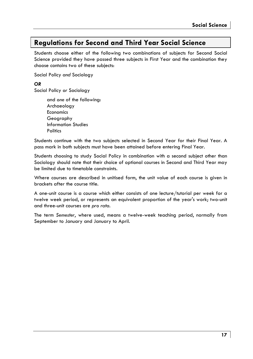# **Regulations for Second and Third Year Social Science**

Students choose either of the following two combinations of subjects for Second Social Science provided they have passed three subjects in First Year and the combination they choose contains two of these subjects:

Social Policy *and* Sociology

*OR* 

Social Policy *or* Sociology

 and *one* of the following: Archaeology Economics Geography Information Studies **Politics** 

Students continue with the two subjects selected in Second Year for their Final Year. A pass mark in both subjects must have been attained before entering Final Year.

Students choosing to study Social Policy in combination with a second subject other than Sociology should note that their choice of optional courses in Second and Third Year may be limited due to timetable constraints.

Where courses are described in unitised form, the unit value of each course is given in brackets after the course title.

A one-unit course is a course which either consists of one lecture/tutorial per week for a twelve week period, or represents an equivalent proportion of the year's work; two-unit and three-unit courses are *pro rata*.

The term *Semester*, where used, means a twelve-week teaching period, normally from September to January and January to April.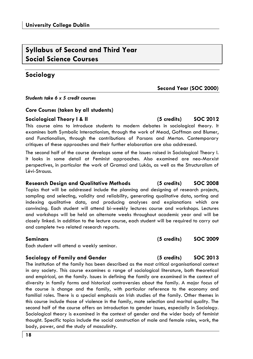**18** 

# **Syllabus of Second and Third Year Social Science Courses**

# **Sociology**

*Students take 6 x 5 credit courses* 

### *Core Courses* **(taken by all students)**

### **Sociological Theory I & II (5 credits) SOC 2012**

This course aims to introduce students to modern debates in sociological theory. It examines both Symbolic Interactionism, through the work of Mead, Goffman and Blumer, and Functionalism, through the contributions of Parsons and Merton. Contemporary critiques of these approaches and their further elaboration are also addressed.

The second half of the course develops some of the issues raised in Sociological Theory I. It looks in some detail at Feminist approaches. Also examined are neo-Marxist perspectives, in particular the work of Gramsci and Lukás, as well as the Structuralism of Lévi-Strauss.

### **Research Design and Qualitative Methods (5 credits) SOC 2008**

Topics that will be addressed include the planning and designing of research projects, sampling and selecting, validity and reliability, generating qualitative data, sorting and indexing qualitative data, and producing analyses and explanations which are convincing. Each student will attend bi-weekly lectures course and workshops. Lectures and workshops will be held on alternate weeks throughout academic year and will be closely linked. In addition to the lecture course, each student will be required to carry out and complete two related research reports.

Each student will attend a weekly seminar.

### **Sociology of Family and Gender (5 credits) SOC 2013**

The institution of the family has been described as the most critical organisational context in any society. This course examines a range of sociological literature, both theoretical and empirical, on the family. Issues in defining the family are examined in the context of diversity in family forms and historical controversies about the family. A major focus of the course is change and the family, with particular reference to the economy and familial roles. There is a special emphasis on Irish studies of the family. Other themes in this course include those of violence in the family, mate selection and marital quality. The second half of the course offers an introduction to gender issues, especially in Sociology. Sociological theory is examined in the context of gender and the wider body of feminist thought. Specific topics include the social construction of male and female roles, work, the body, power, and the study of masculinity.

**Second Year (SOC 2000)** 

### **Seminars (5 credits) SOC 2009**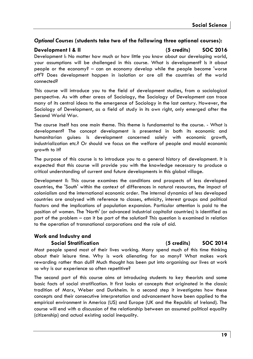### *Optional Courses* **(students take two of the following three optional courses):**

### **Development I & II (5 credits) SOC 2016**

Development I: No matter how much or how little you know about our developing world, your assumptions will be challenged in this course. What is development? Is it about people or the economy? – can an economy develop while the people become 'worse off'? Does development happen in isolation or are all the countries of the world connected?

This course will introduce you to the field of development studies, from a sociological perspective. As with other areas of Sociology, the Sociology of Development can trace many of its central ideas to the emergence of Sociology in the last century. However, the Sociology of Development, as a field of study in its own right, only emerged after the Second World War.

The course itself has one main theme. This theme is fundamental to the course. - What is development? The concept development is presented in both its economic and humanitarian guises: Is development concerned solely with economic growth, industrialization etc.? Or should we focus on the welfare of people and mould economic growth to it?

The purpose of this course is to introduce you to a general history of development. It is expected that this course will provide you with the knowledge necessary to produce a critical understanding of current and future developments in this global village.

Development II: This course examines the conditions and prospects of less developed countries, the 'South' within the context of differences in natural resources, the impact of colonialism and the international economic order. The internal dynamics of less developed countries are analysed with reference to classes, ethnicity, interest groups and political factors and the implications of population expansion. Particular attention is paid to the position of women. The 'North' (or advanced industrial capitalist countries) is identified as part of the problem – can it be part of the solution? This question is examined in relation to the operation of transnational corporations and the role of aid.

# **Work and Industry and**

**Social Stratification (5 credits) SOC 2014** 

Most people spend most of their lives working. Many spend much of this time thinking about their leisure time. Why is work alienating for so many? What makes work rewarding rather than dull? Much thought has been put into organising our lives at work so why is our experience so often repetitive?

The second part of this course aims at introducing students to key theorists and some basic facts of social stratification. It first looks at concepts that originated in the classic tradition of Marx, Weber and Durkheim. In a second step it investigates how these concepts and their consecutive interpretation and advancement have been applied to the empirical environment in America (US) and Europe (UK and the Republic of Ireland). The course will end with a discussion of the relationship between an assumed political equality (citizenship) and actual existing social inequality.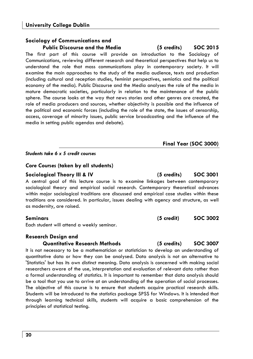#### **Sociology of Communications and Public Discourse and the Media (5 credits) SOC 2015**

The first part of this course will provide an introduction to the Sociology of Communications, reviewing different research and theoretical perspectives that help us to understand the role that mass communications play in contemporary society. It will examine the main approaches to the study of the media audience, texts and production (including cultural and reception studies, feminist perspectives, semiotics and the political economy of the media). Public Discourse and the Media analyses the role of the media in mature democratic societies, particularly in relation to the maintenance of the public sphere. The course looks at the way that news stories and other genres are created, the role of media producers and sources, whether objectivity is possible and the influence of the political and economic forces (including the role of the state, the issues of censorship, access, coverage of minority issues, public service broadcasting and the influence of the media in setting public agendas and debate).

### *Students take 6 x 5 credit courses*

#### *Core Courses* **(taken by all students)**

#### **Sociological Theory III & IV (5 credits) SOC 3001**

A central goal of this lecture course is to examine linkages between contemporary sociological theory and empirical social research. Contemporary theoretical advances within major sociological traditions are discussed and empirical case studies within these traditions are considered. In particular, issues dealing with agency and structure, as well as modernity, are raised.

Each student will attend a weekly seminar.

# **Research Design and**

#### **Quantitative Research Methods (5 credits) SOC 3007**

It is not necessary to be a mathematician or statistician to develop an understanding of quantitative data or how they can be analysed. Data analysis is not an alternative to 'Statistics' but has its own distinct meaning. Data analysis is concerned with making social researchers aware of the use, interpretation and evaluation of relevant data rather than a formal understanding of statistics. It is important to remember that data analysis should be a tool that you use to arrive at an understanding of the operation of social processes. The objective of this course is to ensure that students acquire practical research skills. Students will be introduced to the statistics package SPSS for Windows. It is intended that through learning technical skills, students will acquire a basic comprehension of the principles of statistical testing.

**Seminars (5 credit) SOC 3002**

**Final Year (SOC 3000)**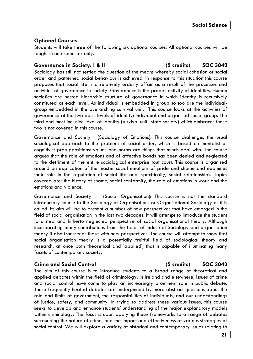#### **Optional Courses**

Students will take three of the following six optional courses. All optional courses will be taught in one semester only.

#### Governance in Society: I & II (5 credits) SOC 3042

Sociology has still not settled the question of the means whereby social cohesion or social order and patterned social behaviour is achieved. In response to this situation this course proposes that social life is a relatively orderly affair as a result of the processes and activities of governance in society. Governance is the proper activity of identities. Human societies are nested hierarchic structure of governance in which identity is recursively constituted at each level. As individual is embedded in group so too are the individualgroup embedded in the overarching survival unit. This course looks at the activities of governance at the two basic levels of identity: individual and organised social group. The third and most inclusive level of identity (survival unit=state society) which embraces these two is not covered in this course.

Governance and Society I (Sociology of Emotions): This course challenges the usual sociological approach to the problem of social order, which is based on mentalist or cognitivist presuppositions: values and norms are things that minds deal with. The course argues that the role of emotions and of affective bonds has been denied and neglected to the detriment of the entire sociological enterprise tout court. This course is organised around an explication of the master social emotions of pride and shame and examines their role in the regulation of social life and, specifically, social relationships. Topics covered are: the history of shame, social conformity, the role of emotions in work and the emotions and violence.

Governance and Society II (Social Organisation): This course is not the standard introductory course to the Sociology of Organisations or Organisational Sociology as it is called. Its aim will be to present a number of new perspectives that have emerged in the field of social organisation in the last two decades. It will attempt to introduce the student to a new and hitherto neglected perspective of social organisational theory. Although incorporating many contributions from the fields of Industrial Sociology and organisation theory it also transcends these with new perspectives. The course will attempt to show that social organisation theory is a potentially fruitful field of sociological theory and research, at once both theoretical and 'applied', that is capable of illuminating many facets of contemporary society.

#### **Crime and Social Control (5 credits) SOC 3043**

The aim of this course is to introduce students to a broad range of theoretical and applied debates within the field of criminology. In Ireland and elsewhere, issues of crime and social control have come to play an increasingly prominent role in public debate. These frequently heated debates are underpinned by more abstract questions about the role and limits of government, the responsibilities of individuals, and our understandings of justice, safety, and community. In trying to address these various issues, this course seeks to develop and enhance students' understanding of the major explanatory models within criminology. The focus is upon applying these frameworks to a range of debates surrounding the nature of crime, and the impact and effectiveness of various strategies of social control. We will explore a variety of historical and contemporary issues relating to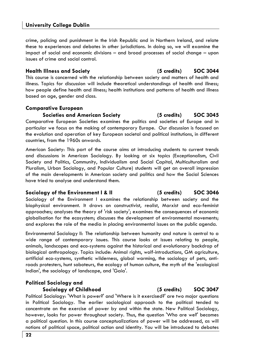#### **University College Dublin**

crime, policing and punishment in the Irish Republic and in Northern Ireland, and relate these to experiences and debates in other jurisdictions. In doing so, we will examine the impact of social and economic divisions – and broad processes of social change – upon issues of crime and social control.

#### **Health Illness and Society (5 credits) SOC 3044**

This course is concerned with the relationship between society and matters of health and illness. Topics for discussion will include theoretical understandings of health and illness; how people define health and illness; health institutions and patterns of health and illness based on age, gender and class.

#### **Comparative European**

**Societies and American Society (5 credits) SOC 3045** 

Comparative European Societies examines the politics and societies of Europe and in particular we focus on the making of contemporary Europe. Our discussion is focused on the evolution and operation of key European societal and political institutions, in different countries, from the 1960s onwards.

American Society: This part of the course aims at introducing students to current trends and discussions in American Sociology. By looking at six topics (Exceptionalism, Civil Society and Politics, Community, Individualism and Social Capital, Multiculturalism and Pluralism, Urban Sociology, and Popular Culture) students will get an overall impression of the main developments in American society and politics and how the Social Sciences have tried to analyse and understand them.

#### **Sociology of the Environment I & II (5 credits) SOC 3046**

Sociology of the Environment I examines the relationship between society and the biophysical environment. It draws on constructivist, realist, Marxist and eco-feminist approaches; analyses the theory of 'risk society'; examines the consequences of economic globalisation for the ecosystem; discusses the development of environmental movements; and explores the role of the media in placing environmental issues on the public agenda.

Environmental Sociology II: The relationship between humanity and nature is central to a wide range of contemporary issues. This course looks at issues relating to people, animals, landscapes and eco-systems against the historical and evolutionary backdrop of biological anthropology. Topics include: Animal rights, wolf-introductions, GM agriculture, artificial eco-systems, synthetic wilderness, global warming, the sociology of pets, antiroads protesters, hunt saboteurs, the ecology of human culture, the myth of the 'ecological Indian', the sociology of landscape, and 'Gaia'.

#### **Political Sociology and Sociology of Childhood (5 credits) SOC 3047**

Political Sociology: 'What is power?' and 'Where is it exercised?' are two major questions in Political Sociology. The earlier sociological approach to the political tended to concentrate on the exercise of power by and within the state. New Political Sociology, however, looks for power throughout society. Thus, the question 'Who are we?' becomes a political question. In this course conceptualizations of power will be addressed, as will notions of political space, political action and identity. You will be introduced to debates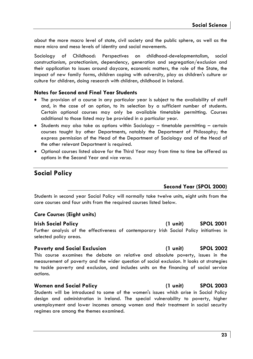about the more macro level of state, civil society and the public sphere, as well as the more micro and meso levels of identity and social movements.

Sociology of Childhood: Perspectives on childhood-developmentalism, social constructionism, protectionism, dependency, generation and segregation/exclusion and their application to issues around daycare, economic matters, the role of the State, the impact of new family forms, children coping with adversity, play as children's culture or culture for children, doing research with children, childhood in Ireland.

#### **Notes for Second and Final Year Students**

- The provision of a course in any particular year is subject to the availability of staff and, in the case of an option, to its selection by a sufficient number of students. Certain optional courses may only be available timetable permitting. Courses additional to those listed may be provided in a particular year.
- Students may also take as options within Sociology timetable permitting certain courses taught by other Departments, notably the Department of Philosophy; the express permission of the Head of the Department of Sociology and of the Head of the other relevant Department is required.
- Optional courses listed above for the Third Year may from time to time be offered as options in the Second Year and *vice versa.*

# **Social Policy**

### **Second Year (SPOL 2000)**

Students in second year Social Policy will normally take twelve units, eight units from the core courses and four units from the required courses listed below.

### *Core Courses* **(Eight units)**

#### **Irish Social Policy (1 unit) SPOL 2001**

Further analysis of the effectiveness of contemporary Irish Social Policy initiatives in selected policy areas.

#### **Poverty and Social Exclusion (1 unit) SPOL 2002**

This course examines the debate on relative and absolute poverty, issues in the measurement of poverty and the wider question of social exclusion. It looks at strategies to tackle poverty and exclusion, and includes units on the financing of social service actions.

#### **Women and Social Policy (1 unit) SPOL 2003**

Students will be introduced to some of the women's issues which arise in Social Policy design and administration in Ireland. The special vulnerability to poverty, higher unemployment and lower incomes among women and their treatment in social security regimes are among the themes examined.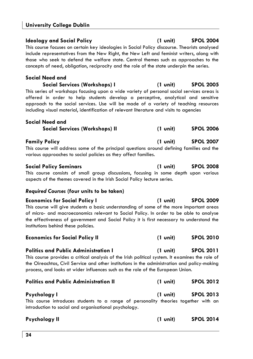## **University College Dublin**

### This course focuses on certain key ideologies in Social Policy discourse. Theorists analysed include representatives from the New Right, the New Left and feminist writers, along with those who seek to defend the welfare state. Central themes such as approaches to the concepts of need, obligation, reciprocity and the role of the state underpin the series.

# **Social Need and**

**Social Services (Workshops) I (1 unit) SPOL 2005** 

This series of workshops focusing upon a wide variety of personal social services areas is offered in order to help students develop a perceptive, analytical and sensitive approach to the social services. Use will be made of a variety of teaching resources including visual material, identification of relevant literature and visits to agencies

| Social Need and                |                    |                  |
|--------------------------------|--------------------|------------------|
| Social Services (Workshops) II | $(1 \text{ unit})$ | <b>SPOL 2006</b> |
| <b>Family Policy</b>           | $(1 \text{ unit})$ | <b>SPOL 2007</b> |

This course will address some of the principal questions around defining families and the various approaches to social policies as they affect families.

#### **Social Policy Seminars (1 unit) SPOL 2008**  This course consists of small group discussions, focusing in some depth upon various aspects of the themes covered in the Irish Social Policy lecture series.

# *Required Courses* **(four units to be taken)**

| <b>Economics for Social Policy I</b>                                                                                                                                               | (1 unit) | <b>SPOL 2009</b> |
|------------------------------------------------------------------------------------------------------------------------------------------------------------------------------------|----------|------------------|
| This course will give students a basic understanding of some of the more important areas<br>of micro- and macroeconomics relevant to Social Policy. In order to be able to analyse |          |                  |
| the effectiveness of government and Social Policy it is first necessary to understand the<br>institutions behind these policies.                                                   |          |                  |

| <b>Economics for Social Policy II</b>                                                                                                                                                                                                                                             | $(1 \text{ unit})$ | <b>SPOL 2010</b> |
|-----------------------------------------------------------------------------------------------------------------------------------------------------------------------------------------------------------------------------------------------------------------------------------|--------------------|------------------|
| <b>Politics and Public Administration I</b>                                                                                                                                                                                                                                       | (1 unit)           | <b>SPOL 2011</b> |
| This course provides a critical analysis of the Irish political system. It examines the role of<br>the Oireachtas, Civil Service and other institutions in the administration and policy-making<br>process, and looks at wider influences such as the role of the European Union. |                    |                  |
| <b>Politics and Public Administration II</b>                                                                                                                                                                                                                                      | $(1 \text{ unit})$ | <b>SPOL 2012</b> |
| Psychology I                                                                                                                                                                                                                                                                      | $(1 \text{ unit})$ | <b>SPOL 2013</b> |

This course introduces students to a range of personality theories together with an introduction to social and organisational psychology.

### **Ideology and Social Policy (1 unit) SPOL 2004**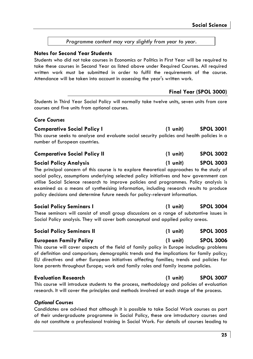**Comparative Social Policy I (1 unit) SPOL 3001** 

**Final Year (SPOL 3000)** 

This course seeks to analyse and evaluate social security policies and health policies in a number of European countries.

Students in Third Year Social Policy will normally take twelve units, seven units from core

| <b>Comparative Social Policy II</b> | $(1 \text{ unit})$ | <b>SPOL 3002</b> |
|-------------------------------------|--------------------|------------------|
|-------------------------------------|--------------------|------------------|

#### **Social Policy Analysis (1 unit) SPOL 3003**

*Core Courses* 

**Notes for Second Year Students** 

courses and five units from optional courses.

The principal concern of this course is to explore theoretical approaches to the study of social policy, assumptions underlying selected policy initiatives and how government can utilise Social Science research to improve policies and programmes. Policy analysis is examined as a means of synthesising information, including research results to produce policy decisions and determine future needs for policy-relevant information.

### **Social Policy Seminars I (1 unit) SPOL 3004**

These seminars will consist of small group discussions on a range of substantive issues in Social Policy analysis. They will cover both conceptual and

| Social Policy Seminars II |  |  |
|---------------------------|--|--|
|---------------------------|--|--|

This course will cover aspects of the field of family policy in Europe including: problems of definition and comparison; demographic trends and the implications for family policy; EU directives and other European initiatives affecting families; trends and policies for lone parents throughout Europe; work and family roles and family income policies.

#### **Evaluation Research (1 unit) SPOL 3007**

This course will introduce students to the process, methodology and policies of evaluation research. It will cover the principles and methods involved at each stage of the process.

#### *Optional Courses*

Candidates are advised that although it is possible to take Social Work courses as part of their undergraduate programme in Social Policy, these are introductory courses and do not constitute a professional training in Social Work. For details of courses leading to

### **25**

# **Social Policy Seminars II (1 unit) SPOL 3005**

| (I UNIT)                      | SPUL 30 |
|-------------------------------|---------|
| a range of substantive issues |         |
| d applied policy areas.       |         |
|                               |         |

| European Family Policy                                                                     | $(1 \text{ unit})$ | <b>SPOL 3006</b> |
|--------------------------------------------------------------------------------------------|--------------------|------------------|
| This course will cover aspects of the field of family policy in Europe including: problems |                    |                  |
| of definition and comparison; demographic trends and the implications for family policy;   |                    |                  |
|                                                                                            |                    |                  |

*Programme content may vary slightly from year to year.* 

Students who did not take courses in Economics or Politics in First Year will be required to take these courses in Second Year as listed above under Required Courses. All required written work must be submitted in order to fulfil the requirements of the course.

Attendance will be taken into account in assessing the year's written work.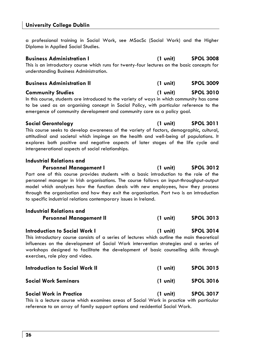a professional training in Social Work, see MSocSc (Social Work) and the Higher Diploma in Applied Social Studies.

#### **Business Administration I (1 unit) SPOL 3008**  This is an introductory course which runs for twenty-four lectures on the basic concepts for understanding Business Administration.

| <b>Business Administration II</b> | $(1 \text{ unit})$ | <b>SPOL 3009</b> |
|-----------------------------------|--------------------|------------------|
|                                   |                    |                  |

### **Community Studies (1 unit) SPOL 3010**

In this course, students are introduced to the variety of ways in which community has come to be used as an organising concept in Social Policy, with particular reference to the emergence of community development and community care as a policy goal.

### **Social Gerontology (1 unit) SPOL 3011**

This course seeks to develop awareness of the variety of factors, demographic, cultural, attitudinal and societal which impinge on the health and well-being of populations. It explores both positive and negative aspects of later stages of the life cycle and intergenerational aspects of social relationships.

### **Industrial Relations and**

**Personnel Management I (1 unit) SPOL 3012**  Part one of this course provides students with a basic introduction to the role of the personnel manager in Irish organisations. The course follows an input-throughput-output model which analyses how the function deals with new employees, how they process through the organisation and how they exit the organisation. Part two is an introduction to specific industrial relations contemporary issues in Ireland.

| <b>Industrial Relations and</b><br><b>Personnel Management II</b>                                                                                                                                                                                                                                                                                       | $(1 \text{ unit})$ | <b>SPOL 3013</b> |
|---------------------------------------------------------------------------------------------------------------------------------------------------------------------------------------------------------------------------------------------------------------------------------------------------------------------------------------------------------|--------------------|------------------|
| <b>Introduction to Social Work I</b><br>This introductory course consists of a series of lectures which outline the main theoretical<br>influences on the development of Social Work intervention strategies and a series of<br>workshops designed to facilitate the development of basic counselling skills through<br>exercises, role play and video. | $(1 \text{ unit})$ | <b>SPOL 3014</b> |
| <b>Introduction to Social Work II</b>                                                                                                                                                                                                                                                                                                                   | $(1 \text{ unit})$ | <b>SPOL 3015</b> |
| <b>Social Work Seminars</b>                                                                                                                                                                                                                                                                                                                             | $(1 \text{ unit})$ | <b>SPOL 3016</b> |
| <b>Social Work in Practice</b>                                                                                                                                                                                                                                                                                                                          | $(1 \text{ unit})$ | <b>SPOL 3017</b> |

This is a lecture course which examines areas of Social Work in practice with particular reference to an array of family support options and residential Social Work.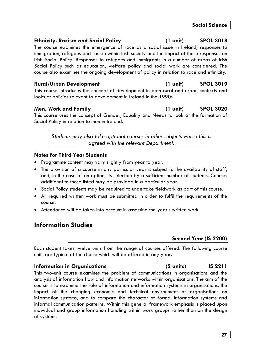### **Ethnicity, Racism and Social Policy (1 unit) SPOL 3018**

The course examines the emergence of race as a social issue in Ireland, responses to immigration, refugees and racism within Irish society and the impact of these responses on Irish Social Policy. Responses to refugees and immigrants in a number of areas of Irish Social Policy such as education, welfare policy and social work are considered. The course also examines the ongoing development of policy in relation to race and ethnicity.

### **Rural/Urban Development (1 unit) SPOL 3019**

This course introduces the concept of development in both rural and urban contexts and looks at policies relevant to development in Ireland in the 1990s.

**Men, Work and Family (1 unit) SPOL 3020** 

This course uses the concept of Gender, Equality and Needs to look at the formation of Social Policy in relation to men in Ireland.

*Students may also take optional courses in other subjects where this is agreed with the relevant Department.* 

#### **Notes for Third Year Students**

- Programme content may vary slightly from year to year.
- The provision of a course in any particular year is subject to the availability of staff, and, in the case of an option, its selection by a sufficient number of students. Courses additional to those listed may be provided in a particular year.
- Social Policy students may be required to undertake fieldwork as part of this course.
- All required written work must be submitted in order to fulfil the requirements of the course.
- Attendance will be taken into account in assessing the year's written work.

# **Information Studies**

### **Second Year (IS 2200)**

Each student takes twelve units from the range of courses offered. The following course units are typical of the choice which will be offered in any year.

#### **Information in Organisations (2 units) IS 2211**

This two-unit course examines the problem of communications in organisations and the analysis of information flow and information networks within organisations. The aim of the course is to examine the role of information and information systems in organisations, the impact of the changing economic and technical environment of organisations on information systems, and to compare the character of formal information systems and informal communication patterns. Within this general framework emphasis is placed upon individual and group information handling within work groups rather than on the design of systems.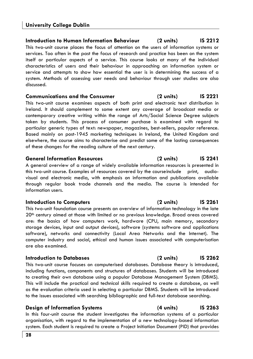### **Introduction to Human Information Behaviour (2 units) IS 2212**

This two-unit course places the focus of attention on the users of information systems or services. Too often in the past the focus of research and practice has been on the system itself or particular aspects of a service. This course looks at many of the individual characteristics of users and their behaviour in approaching an information system or service and attempts to show how essential the user is in determining the success of a system. Methods of assessing user needs and behaviour through user studies are also discussed.

### **Communications and the Consumer (2 units) IS 2221**

This two-unit course examines aspects of both print and electronic text distribution in Ireland. It should complement to some extent any coverage of broadcast media or contemporary creative writing within the range of Arts/Social Science Degree subjects taken by students. This process of consumer purchase is examined with regard to particular generic types of text: newspaper, magazines, best-sellers, popular reference. Based mainly on post-1945 marketing techniques in Ireland, the United Kingdom and elsewhere, the course aims to characterise and predict some of the lasting consequences of these changes for the reading culture of the next century.

#### **General Information Resources (2 units) IS 2241**

A general overview of a range of widely available information resources is presented in this two-unit course. Examples of resources covered by the course include print, audiovisual and electronic media, with emphasis on information and publications available through regular book trade channels and the media. The course is intended for information users.

### **Introduction to Computers (2 units) IS 2261**

This two-unit foundation course presents an overview of information technology in the late 20th century aimed at those with limited or no previous knowledge. Broad areas covered are: the basics of how computers work, hardware (CPU, main memory, secondary storage devices, input and output devices), software (systems software and applications software), networks and connectivity (Local Area Networks and the Internet). The computer industry and social, ethical and human issues associated with computerisation are also examined.

### **Introduction to Databases (2 units) IS 2262**

This two-unit course focuses on computerised databases. Database theory is introduced, including functions, components and structures of databases. Students will be introduced to creating their own database using a popular Database Management System (DBMS). This will include the practical and technical skills required to create a database, as well as the evaluation criteria used in selecting a particular DBMS. Students will be introduced to the issues associated with searching bibliographic and full-text database searching.

### **Design of Information Systems (4 units) IS 2263**

In this four-unit course the student investigates the information systems of a particular organisation, with regard to the implementation of a new technology-based information system. Each student is required to create a Project Initiation Document (PID) that provides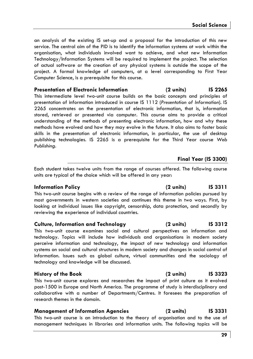an analysis of the existing IS set-up and a proposal for the introduction of this new service. The central aim of the PID is to identify the information systems at work within the organisation, what individuals involved want to achieve, and what new Information Technology/Information Systems will be required to implement the project. The selection of actual software or the creation of any physical systems is outside the scope of the project. A formal knowledge of computers, at a level corresponding to First Year Computer Science, is a prerequisite for this course.

#### **Presentation of Electronic Information (2 units) IS 2265**

This intermediate level two-unit course builds on the basic concepts and principles of presentation of information introduced in course IS 1112 (*Presentation of Information*). IS 2265 concentrates on the presentation of electronic information, that is, information stored, retrieved or presented via computer. This course aims to provide a critical understanding of the methods of presenting electronic information, how and why these methods have evolved and how they may evolve in the future. It also aims to foster basic skills in the presentation of electronic information, in particular, the use of desktop publishing technologies. IS 2265 is a prerequisite for the Third Year course *Web Publishing.*

# **Final Year (IS 3300)**

Each student takes twelve units from the range of courses offered. The following course units are typical of the choice which will be offered in any year:

This two-unit course begins with a review of the range of information policies pursued by most governments in western societies and continues this theme in two ways. First, by looking at individual issues like copyright, censorship, data protection, and secondly by reviewing the experience of individual countries.

#### **Culture, Information and Technology (2 units) IS 3312**

This two-unit course examines social and cultural perspectives on information and technology. Topics will include how individuals and organisations in modern society perceive information and technology, the impact of new technology and information systems on social and cultural structures in modern society and changes in social control of information. Issues such as global culture, virtual communities and the sociology of technology and knowledge will be discussed.

This two-unit course explores and researches the impact of print culture as it evolved post-1500 in Europe and North America. The programme of study is interdisciplinary and collaborative with a number of Departments/Centres. It foresees the preparation of research themes in the domain.

# **Management of Information Agencies (2 units) IS 3331**

This two-unit course is an introduction to the theory of organisation and to the use of management techniques in libraries and information units. The following topics will be

# **Information Policy (2 units) IS 3311**

# **History of the Book (2 units) IS 3323**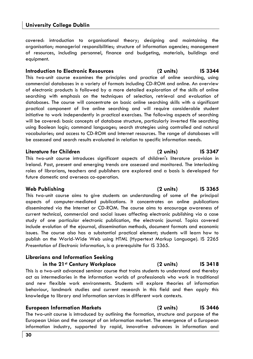covered: introduction to organisational theory; designing and maintaining the organisation; managerial responsibilities; structure of information agencies; management of resources, including personnel, finance and budgeting, materials, buildings and equipment.

#### **Introduction to Electronic Resources (2 units) IS 3344**

This two-unit course examines the principles and practice of online searching, using commercial databases in a variety of formats including CD-ROM and online. An overview of electronic products is followed by a more detailed exploration of the skills of online searching with emphasis on the techniques of selection, retrieval and evaluation of databases. The course will concentrate on basic online searching skills with a significant practical component of live online searching and will require considerable student initiative to work independently in practical exercises. The following aspects of searching will be covered: basic concepts of database structure, particularly inverted file searching using Boolean logic; command languages; search strategies using controlled and natural vocabularies; and access to CD-ROM and Internet resources. The range of databases will be assessed and search results evaluated in relation to specific information needs.

#### **Literature for Children (2 units) IS 3347**

This two-unit course introduces significant aspects of children's literature provision in Ireland. Past, present and emerging trends are assessed and monitored. The interlocking roles of librarians, teachers and publishers are explored and a basis is developed for future domestic and overseas co-operation.

This two-unit course aims to give students an understanding of some of the principal aspects of computer-mediated publications. It concentrates on online publications disseminated via the Internet or CD-ROM. The course aims to encourage awareness of current technical, commercial and social issues affecting electronic publishing via a case study of one particular electronic publication, the electronic journal. Topics covered include evolution of the ejournal, dissemination methods, document formats and economic issues. The course also has a substantial practical element; students will learn how to publish on the World-Wide Web using HTML (Hypertext Markup Language). IS 2265 *Presentation of Electronic Information*, is a prerequisite for IS 3365.

#### **Librarians and Information Seeking in the 21st Century Workplace (2 units) IS 3418**

This is a two-unit advanced seminar course that trains students to understand and thereby act as intermediaries in the information worlds of professionals who work in traditional and new flexible work environments. Students will explore theories of information behaviour, landmark studies and current research in this field and then apply this knowledge to library and information services in different work contexts.

#### **European Information Markets (2 units) IS 3446**

The two-unit course is introduced by outlining the formation, structure and purpose of the European Union and the concept of an information market. The emergence of a European information industry, supported by rapid, innovative advances in information and

#### **Web Publishing (2 units) IS 3365**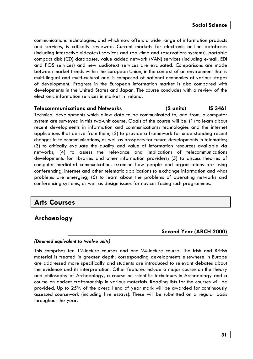communications technologies, and which now offers a wide range of information products and services, is critically reviewed. Current markets for electronic on-line databases (including interactive videotext services and real-time and reservations systems), portable compact disk (CD) databases, value added network (VAN) services (including e-mail, EDI and POS services) and new audiotext services are evaluated. Comparisons are made between market trends within the European Union, in the context of an environment that is multi-lingual and multi-cultural and is composed of national economies at various stages of development. Progress in the European information market is also compared with developments in the United States and Japan. The course concludes with a review of the electronic information services in market in Ireland.

#### **Telecommunications and Networks (2 units) IS 3461**

Technical developments which allow data to be communicated to, and from, a computer system are surveyed in this two-unit course. Goals of the course will be: (1) to learn about recent developments in information and communications; technologies and the internet applications that derive from them; (2) to provide a framework for understanding recent changes in telecommunications, as well as prospects for future developments in telematics; (3) to critically evaluate the quality and value of information resources available via networks; (4) to assess the relevance and implications of telecommunications developments for libraries and other information providers; (5) to discuss theories of computer mediated communication, examine how people and organisations are using conferencing, internet and other telematic applications to exchange information and what problems are emerging; (6) to learn about the problems of operating networks and conferencing systems, as well as design issues for novices facing such programmes.

# **Arts Courses**

# **Archaeology**

### **Second Year (ARCH 2000)**

#### *(Deemed equivalent to twelve units)*

This comprises ten 12-lecture courses and one 24-lecture course. The Irish and British material is treated in greater depth; corresponding developments elsewhere in Europe are addressed more specifically and students are introduced to relevant debates about the evidence and its interpretation. Other features include a major course on the theory and philosophy of Archaeology, a course on scientific techniques in Archaeology and a course on ancient craftsmanship in various materials. Reading lists for the courses will be provided. Up to 25% of the overall end of year mark will be awarded for continuously assessed coursework (including five essays). These will be submitted on a regular basis throughout the year.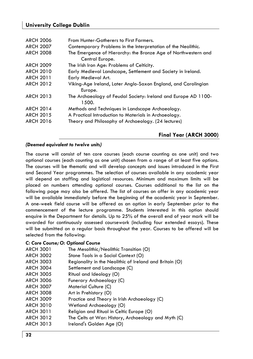### **University College Dublin**

| <b>ARCH 2006</b> | From Hunter-Gatherers to First Farmers.                        |
|------------------|----------------------------------------------------------------|
| <b>ARCH 2007</b> | Contemporary Problems in the Interpretation of the Neolithic.  |
| <b>ARCH 2008</b> | The Emergence of Hierarchy: the Bronze Age of Northwestern and |
|                  | Central Europe.                                                |
| <b>ARCH 2009</b> | The Irish Iron Age: Problems of Celticity.                     |
| <b>ARCH 2010</b> | Early Medieval Landscape, Settlement and Society in Ireland.   |
| <b>ARCH 2011</b> | Early Medieval Art.                                            |
| <b>ARCH 2012</b> | Viking-Age Ireland, Later Anglo-Saxon England, and Carolingian |
|                  | Europe.                                                        |
| <b>ARCH 2013</b> | The Archaeology of Feudal Society: Ireland and Europe AD 1100- |
|                  | 1500.                                                          |
| <b>ARCH 2014</b> | Methods and Techniques in Landscape Archaeology.               |
| <b>ARCH 2015</b> | A Practical Introduction to Materials in Archaeology.          |
| <b>ARCH 2016</b> | Theory and Philosophy of Archaeology. (24 lectures)            |
|                  |                                                                |
|                  |                                                                |

# *(Deemed equivalent to twelve units)*

The course will consist of ten core courses (each course counting as one unit) and two optional courses (each counting as one unit) chosen from a range of at least five options. The courses will be thematic and will develop concepts and issues introduced in the First and Second Year programmes. The selection of courses available in any academic year will depend on staffing and logistical resources. Minimum and maximum limits will be placed on numbers attending optional courses. Courses additional to the list on the following page may also be offered. The list of courses on offer in any academic year will be available immediately before the beginning of the academic year in September. A one-week field course will be offered as an option in early September prior to the commencement of the lecture programme. Students interested in this option should enquire in the Department for details. Up to 25% of the overall end of year mark will be awarded for continuously assessed coursework (including four extended essays). These will be submitted on a regular basis throughout the year. Courses to be offered will be selected from the following:

**Final Year (ARCH 3000)** 

#### *C: Core Course; O: Optional Course*

| ARCH 3001        | The Mesolithic/Neolithic Transition (O)                 |
|------------------|---------------------------------------------------------|
| ARCH 3002        | Stone Tools in a Social Context (O)                     |
| ARCH 3003        | Regionality in the Neolithic of Ireland and Britain (O) |
| <b>ARCH 3004</b> | Settlement and Landscape (C)                            |
| ARCH 3005        | Ritual and Ideology (O)                                 |
| ARCH 3006        | Funerary Archaeology (C)                                |
| ARCH 3007        | Material Culture (C)                                    |
| ARCH 3008        | Art in Prehistory (O)                                   |
| ARCH 3009        | Practice and Theory in Irish Archaeology (C)            |
| ARCH 3010        | Wetland Archaeology (O)                                 |
| ARCH 3011        | Religion and Ritual in Celtic Europe (O)                |
| ARCH 3012        | The Celts at War: History, Archaeology and Myth (C)     |
| ARCH 3013        | Ireland's Golden Age (O)                                |
|                  |                                                         |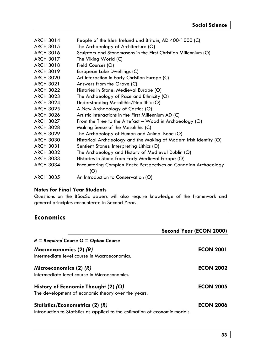| <b>ARCH 3014</b><br>People of the Isles: Ireland and Britain, AD 400-1000 (C)          |
|----------------------------------------------------------------------------------------|
| <b>ARCH 3015</b><br>The Archaeology of Architecture (O)                                |
| <b>ARCH 3016</b><br>Sculptors and Stonemasons in the First Christian Millennium (O)    |
| <b>ARCH 3017</b><br>The Viking World (C)                                               |
| <b>ARCH 3018</b><br>Field Courses (O)                                                  |
| <b>ARCH 3019</b><br>European Lake Dwellings (C)                                        |
| <b>ARCH 3020</b><br>Art Interaction in Early Christian Europe (C)                      |
| <b>ARCH 3021</b><br>Answers from the Grave (C)                                         |
| <b>ARCH 3022</b><br>Histories in Stone: Medieval Europe (O)                            |
| <b>ARCH 3023</b><br>The Archaeology of Race and Ethnicity (O)                          |
| Understanding Mesolithic/Neolithic (O)<br><b>ARCH 3024</b>                             |
| <b>ARCH 3025</b><br>A New Archaeology of Castles (O)                                   |
| <b>ARCH 3026</b><br>Artistic Interactions in the First Millennium AD (C)               |
| <b>ARCH 3027</b><br>From the Tree to the Artefact – Wood in Archaeology (O)            |
| <b>ARCH 3028</b><br>Making Sense of the Mesolithic (C)                                 |
| <b>ARCH 3029</b><br>The Archaeology of Human and Animal Bone (O)                       |
| <b>ARCH 3030</b><br>Historical Archaeology and the Making of Modern Irish Identity (O) |
| <b>ARCH 3031</b><br>Sentient Stones: Interpreting Lithics (O)                          |
| <b>ARCH 3032</b><br>The Archaeology and History of Medieval Dublin (O)                 |
| <b>ARCH 3033</b><br>Histories in Stone from Early Medieval Europe (O)                  |
| <b>ARCH 3034</b><br>Encountering Complex Pasts: Perspectives on Canadian Archaeology   |
| (O)                                                                                    |
| <b>ARCH 3035</b><br>An Introduction to Conservation (O)                                |
|                                                                                        |

# **Notes for Final Year Students**

Questions on the BSocSc papers will also require knowledge of the framework and general principles encountered in Second Year.

# **Economics**

|                                                                                                                | Second Year (ECON 2000) |
|----------------------------------------------------------------------------------------------------------------|-------------------------|
| $R =$ Required Course $Q =$ Option Course                                                                      |                         |
| Macroeconomics (2) (R)<br>Intermediate level course in Macroeconomics.                                         | <b>ECON 2001</b>        |
| Microeconomics $(2)$ $(R)$<br>Intermediate level course in Microeconomics.                                     | <b>ECON 2002</b>        |
| History of Economic Thought (2) (O)<br>The development of economic theory over the years.                      | <b>ECON 2005</b>        |
| Statistics/Econometrics (2) (R)<br>Introduction to Statistics as applied to the estimation of economic models. | <b>ECON 2006</b>        |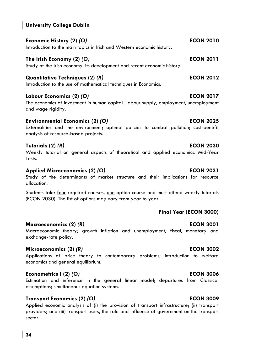### **University College Dublin**

| Economic History (2) <i>(</i> O)                                                                              | <b>ECON 2010</b> |
|---------------------------------------------------------------------------------------------------------------|------------------|
| Introduction to the main topics in Irish and Western economic history.                                        |                  |
| The Irish Economy (2) <i>(</i> O)<br>Study of the Irish economy, its development and recent economic history. | <b>ECON 2011</b> |
| Quantitative Techniques (2) <i>(</i> R)<br>Introduction to the use of mathematical techniques in Economics.   | <b>ECON 2012</b> |

#### **Labour Economics (2)** *(O)* **ECON 2017**

The economics of investment in human capital. Labour supply, employment, unemployment and wage rigidity.

#### **Environmental Economics (2)** *(O)* **ECON 2025**

Externalities and the environment; optimal policies to combat pollution; cost-benefit analysis of resource-based projects.

### **Tutorials (2)** *(R)* **ECON 2030**

Weekly tutorial on general aspects of theoretical and applied economics. Mid-Year Tests.

#### **Applied Microeconomics (2)** *(O)* **ECON 2031**

Study of the determinants of market structure and their implications for resource allocation.

Students take four required courses, one option course and must attend weekly tutorials (ECON 2030). The list of options may vary from year to year.

# **Final Year (ECON 3000)**

### **Macroeconomics (2)** *(R)* **ECON 3001**

Macroeconomic theory; growth inflation and unemployment, fiscal, monetary and exchange-rate policy.

### **Microeconomics (2)** *(R)* **ECON 3002**

Applications of price theory to contemporary problems; introduction to welfare economics and general equilibrium.

### **Econometrics I (2)** *(O)* **ECON 3006**

Estimation and inference in the general linear model; departures from Classical assumptions; simultaneous equation systems.

### **Transport Economics (2)** *(O)* **ECON 3009**

Applied economic analysis of (i) the provision of transport infrastructure; (ii) transport providers; and (iii) transport users, the role and influence of government on the transport sector.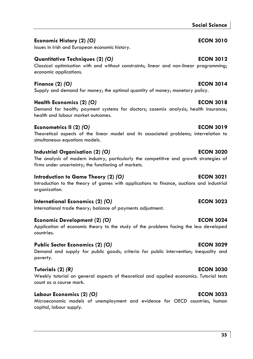### **Social Science**

# **Economic History (2)** *(O)* **ECON 3010**

# **Quantitative Techniques (2)** *(O)* **ECON 3012**

### Classical optimisation with and without constraints; linear and non-linear programming; economic applications.

# **Finance (2)** *(O)* **ECON 3014**

Supply and demand for money; the optimal quantity of money; monetary policy.

# **Health Economics (2)** *(O)* **ECON 3018**

Issues in Irish and European economic history.

Demand for health; payment systems for doctors; casemix analysis; health insurance; health and labour market outcomes.

# **Econometrics II (2)** *(O)* **ECON 3019**

Theoretical aspects of the linear model and its associated problems; interrelation to simultaneous equations models.

# **Industrial Organisation (2)** *(O)* **ECON 3020**

The analysis of modern industry, particularly the competitive and growth strategies of firms under uncertainty; the functioning of markets.

# **Introduction to Game Theory (2) (O) ECON 3021**

Introduction to the theory of games with applications to finance, auctions and industrial organization.

# **International Economics (2)** *(O)* **ECON 3023**

International trade theory; balance of payments adjustment.

# **Economic Development (2)** *(O)* **ECON 3024**

Application of economic theory to the study of the problems facing the less developed countries.

# **Public Sector Economics (2)** *(O)* **ECON 3029**

Demand and supply for public goods; criteria for public intervention; inequality and poverty.

# **Tutorials (2)** *(R)* **ECON 3030**

Weekly tutorial on general aspects of theoretical and applied economics. Tutorial tests count as a course mark.

# **Labour Economics (2)** *(O)* **ECON 3033**

Microeconomic models of unemployment and evidence for OECD countries, human capital, labour supply.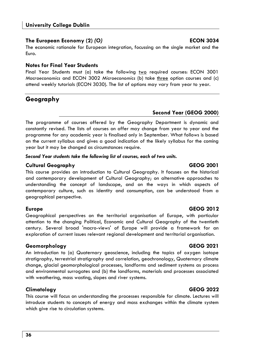# **The European Economy (2)** *(O)* **ECON 3034**

The economic rationale for European integration, focussing on the single market and the Euro.

# **Notes for Final Year Students**

Final Year Students must (a) take the following two required courses: ECON 3001 *Macroeconomics* and ECON 3002 *Microeconomics* (b) take three option courses and (c) attend weekly tutorials (ECON 3030). The list of options may vary from year to year.

# **Geography**

# **Second Year (GEOG 2000)**

The programme of courses offered by the Geography Department is dynamic and constantly revised. The lists of courses on offer may change from year to year and the programme for any academic year is finalised only in September. What follows is based on the current syllabus and gives a good indication of the likely syllabus for the coming year but it may be changed as circumstances require.

*Second Year students take the following list of courses, each of two units.* 

# **Cultural Geography GEOG 2001**

This course provides an introduction to Cultural Geography. It focuses on the historical and contemporary development of Cultural Geography; on alternative approaches to understanding the concept of landscape, and on the ways in which aspects of contemporary culture, such as identity and consumption, can be understood from a geographical perspective.

Geographical perspectives on the territorial organisation of Europe, with particular attention to the changing Political, Economic and Cultural Geography of the twentieth century. Several broad 'macro-views' of Europe will provide a framework for an exploration of current issues relevant regional development and territorial organisation.

# **Geomorphology GEOG 2021**

An introduction to (a) Quaternary geoscience, including the topics of oxygen isotope stratigraphy, terrestrial stratigraphy and correlation, geochronology, Quaternary climate change, glacial geomorphological processes, landforms and sediment systems as process and environmental surrogates and (b) the landforms, materials and processes associated with weathering, mass wasting, slopes and river systems.

# **Climatology GEOG 2022**

This course will focus on understanding the processes responsible for climate. Lectures will introduce students to concepts of energy and mass exchanges within the climate system which give rise to circulation systems.

# **Europe GEOG 2012**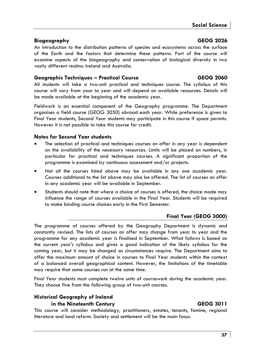### **Biogeography GEOG 2026**

An introduction to the distribution patterns of species and ecosystems across the surface of the Earth and the factors that determine these patterns. Part of the course will examine aspects of the biogeography and conservation of biological diversity in two vastly different realms: Ireland and Australia.

### **Geographic Techniques – Practical Course GEOG 2060**

All students will take a two-unit practical and techniques course. The syllabus of this course will vary from year to year and will depend on available resources. Details will be made available at the beginning of the academic year.

Fieldwork is an essential component of the Geography programme. The Department organises a field course (GEOG 3050) abroad each year. While preference is given to Final Year students, Second Year students may participate in this course if space permits. However it is not possible to take this course for credit.

### **Notes for Second Year students**

- The selection of practical and techniques courses on offer in any year is dependent on the availability of the necessary resources. Limits will be placed on numbers, in particular for practical and techniques courses. A significant proportion of the programme is examined by continuous assessment and/or projects.
- Not all the courses listed above may be available in any one academic year. Courses additional to the list above may also be offered. The list of courses on offer in any academic year will be available in September.
- Students should note that where a choice of courses is offered, the choice made may influence the range of courses available in the Final Year. Students will be required to make binding course choices early in the First Semester.

### **Final Year (GEOG 3000)**

The programme of courses offered by the Geography Department is dynamic and constantly revised. The lists of courses on offer may change from year to year and the programme for any academic year is finalised in September. What follows is based on the current year's syllabus and gives a good indication of the likely syllabus for the coming year, but it may be changed as circumstances require. The Department aims to offer the maximum amount of choice in courses to Final Year students within the context of a balanced overall geographical content. However, the limitations of the timetable may require that some courses run at the same time.

Final Year students must complete twelve units of coursework during the academic year. They choose five from the following group of two-unit courses.

### **Historical Geography of Ireland in the Nineteenth Century GEOG 3011**

This course will consider methodology, practitioners, estates, tenants, famine, regional literature and land reform. Society and settlement will be the main focus.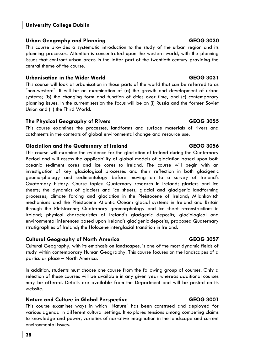### **Urban Geography and Planning GEOG 3030**

This course provides a systematic introduction to the study of the urban region and its planning processes. Attention is concentrated upon the western world, with the planning issues that confront urban areas in the latter part of the twentieth century providing the central theme of the course.

### **Urbanisation in the Wider World GEOG 3031**

This course will look at urbanisation in those parts of the world that can be referred to as "non-western". It will be an examination of (a) the growth and development of urban systems; (b) the changing form and function of cities over time, and (c) contemporary planning issues. In the current session the focus will be on (i) Russia and the former Soviet Union and (ii) the Third World.

### **The Physical Geography of Rivers GEOG 3055**

This course examines the processes, landforms and surface materials of rivers and catchments in the contexts of global environmental change and resource use.

### **Glaciation and the Quaternary of Ireland GEOG 3056**

This course will examine the evidence for the glaciation of Ireland during the Quaternary Period and will assess the applicability of global models of glaciation based upon both oceanic sediment cores and ice cores to Ireland. The course will begin with an investigation of key glaciological processes and their reflection in both glacigenic geomorphology and sedimentology before moving on to a survey of Ireland's Quaternary history. Course topics: Quaternary research in Ireland; glaciers and ice sheets; the dynamics of glaciers and ice sheets; glacial and glacigenic landforming processes; climate forcing and glaciation in the Pleistocene of Ireland; Milankovitch mechanisms and the Pleistocene Atlantic Ocean; glacial systems in Ireland and Britain through the Pleistocene; Quaternary geomorphology and ice sheet reconstructions in Ireland; physical characteristics of Ireland's glacigenic deposits; glaciological and environmental inferences based upon Ireland's glacigenic deposits; proposed Quaternary stratigraphies of Ireland; the Holocene interglacial transition in Ireland.

### **Cultural Geography of North America GEOG 3057**

Cultural Geography, with its emphasis on landscapes, is one of the most dynamic fields of study within contemporary Human Geography. This course focuses on the landscapes of a particular place – North America.

In addition, students must choose one course from the following group of courses. Only a selection of these courses will be available in any given year whereas additional courses may be offered. Details are available from the Department and will be posted on its website.

### **Nature and Culture in Global Perspective CEOG 3001 CEOG 3001**

This course examines ways in which "Nature" has been construed and deployed for various agenda in different cultural settings. It explores tensions among competing claims to knowledge and power, varieties of narrative imagination in the landscape and current environmental issues.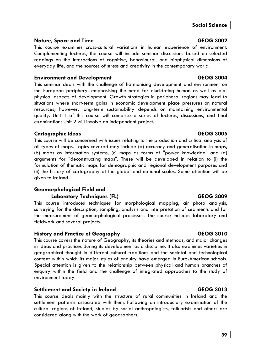### **Social Science**

### **Nature, Space and Time GEOG 3002**

This course examines cross-cultural variations in human experience of environment. Complementing lectures, the course will include seminar discussions based on selected readings on the interactions of cognitive, behavioural, and biophysical dimensions of everyday life, and the sources of stress and creativity in the contemporary world.

### **Environment and Development GEOG 3004**

This seminar deals with the challenge of harmonising development and environment on the European periphery, emphasising the need for elucidating human as well as biophysical aspects of development. Growth strategies in peripheral regions may lead to situations where short-term gains in economic development place pressures on natural resources; however, long-term sustainability depends on maintaining environmental quality. Unit 1 of this course will comprise a series of lectures, discussions, and final examination; Unit 2 will involve an independent project.

### **Cartographic Ideas GEOG 3005**

This course will be concerned with issues relating to the production and critical analysis of all types of maps. Topics covered may include (a) accuracy and generalisation in maps, (b) maps as information systems, (c) maps as forms of "power knowledge" and (d) arguments for "deconstructing maps". These will be developed in relation to (i) the formulation of thematic maps for demographic and regional development purposes and (ii) the history of cartography at the global and national scales. Some attention will be given to Ireland.

# **Geomorphological Field and**

### Laboratory Techniques (FL) GEOG 3009

This course introduces techniques for morphological mapping, air photo analysis, surveying for the description, sampling, analysis and interpretation of sediments and for the measurement of geomorphological processes. The course includes laboratory and fieldwork and several projects.

### **History and Practice of Geography GEOG 3010**

This course covers the nature of Geography, its theories and methods, and major changes in ideas and practices during its development as a discipline. It also examines varieties in geographical thought in different cultural traditions and the societal and technological context within which its major styles of enquiry have emerged in Euro-American schools. Special attention is given to the relationship between physical and human branches of enquiry within the field and the challenge of integrated approaches to the study of environment today.

### **Settlement and Society in Ireland GEOG 3013**

This course deals mainly with the structure of rural communities in Ireland and the settlement patterns associated with them. Following an introductory examination of the cultural regions of Ireland, studies by social anthropologists, folklorists and others are considered along with the work of geographers.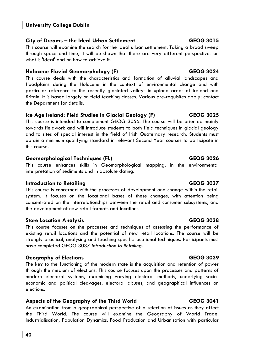# **City of Dreams – the Ideal Urban Settlement GEOG 3015**

This course will examine the search for the ideal urban settlement. Taking a broad sweep through space and time, it will be shown that there are very different perspectives on what is 'ideal' and on how to achieve it.

# **Holocene Fluvial Geomorphology (F)** CEOG 3024

This course deals with the characteristics and formation of alluvial landscapes and floodplains during the Holocene in the context of environmental change and with particular reference to the recently glaciated valleys in upland areas of Ireland and Britain. It is based largely on field teaching classes. Various pre-requisites apply; contact the Department for details.

# **Ice Age Ireland: Field Studies in Glacial Geology (F) GEOG 3025**

This course is intended to complement GEOG 3056. The course will be oriented mainly towards fieldwork and will introduce students to both field techniques in glacial geology and to sites of special interest in the field of Irish Quaternary research. Students must obtain a minimum qualifying standard in relevant Second Year courses to participate in this course.

# **Geomorphological Techniques (FL) GEOG 3026**

This course enhances skills in Geomorphological mapping, in the environmental interpretation of sediments and in absolute dating.

# **Introduction to Retailing GEOG 3037**

This course is concerned with the processes of development and change within the retail system. It focuses on the locational bases of these changes, with attention being concentrated on the interrelationships between the retail and consumer subsystems, and the development of new retail formats and locations.

# **Store Location Analysis GEOG 3038**

This course focuses on the processes and techniques of assessing the performance of existing retail locations and the potential of new retail locations. The course will be strongly practical, analysing and teaching specific locational techniques. Participants must have completed GEOG 3037 *Introduction to Retailing*.

# **Geography of Elections GEOG 3039**

The key to the functioning of the modern state is the acquisition and retention of power through the medium of elections. This course focuses upon the processes and patterns of modern electoral systems, examining varying electoral methods, underlying socioeconomic and political cleavages, electoral abuses, and geographical influences on elections.

# **Aspects of the Geography of the Third World GEOG 3041**

An examination from a geographical perspective of a selection of issues as they affect the Third World. The course will examine the Geography of World Trade, Industrialisation, Population Dynamics, Food Production and Urbanisation with particular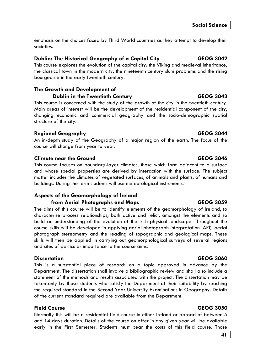emphasis on the choices faced by Third World countries as they attempt to develop their societies.

### **Dublin: The Historical Geography of a Capital City GEOG 3042**

This course explores the evolution of the capital city: the Viking and medieval inheritance, the classical town in the modern city, the nineteenth century slum problems and the rising bourgeoisie in the early twentieth century.

# **The Growth and Development of**

**Dublin in the Twentieth Century GEOG 3043** This course is concerned with the study of the growth of the city in the twentieth century. Main areas of interest will be the development of the residential component of the city, changing economic and commercial geography and the socio-demographic spatial structure of the city.

### **Regional Geography GEOG 3044**

An in-depth study of the Geography of a major region of the earth. The focus of the course will change from year to year.

### **Climate near the Ground GEOG 3046**

This course focuses on boundary-layer climates, those which form adjacent to a surface and whose special properties are derived by interaction with the surface. The subject matter includes the climates of vegetated surfaces, of animals and plants, of humans and buildings. During the term students will use meteorological instruments.

### **Aspects of the Geomorphology of Ireland from Aerial Photographs and Maps GEOG 3059**

The aims of this course will be to identify elements of the geomorphology of Ireland, to characterise process relationships, both active and relict, amongst the elements and so build an understanding of the evolution of the Irish physical landscape. Throughout the course skills will be developed in applying aerial photograph interpretation (API), aerial photograph stereometry and the reading of topographic and geological maps. These skills will then be applied in carrying out geomorphological surveys of several regions and sites of particular importance to the course aims.

### **Dissertation GEOG 3060**

This is a substantial piece of research on a topic approved in advance by the Department. The dissertation shall involve a bibliographic review and shall also include a statement of the methods and results associated with the project. The dissertation may be taken only by those students who satisfy the Department of their suitability by reaching the required standard in the Second Year University Examinations in Geography. Details of the current standard required are available from the Department.

### **Field Course GEOG 3050**

Normally this will be a residential field course in either Ireland or abroad of between 5 and 14 days duration. Details of the course on offer in any given year will be available early in the First Semester. Students must bear the costs of this field course. Those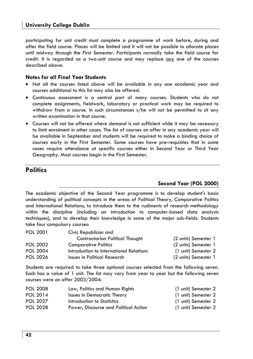participating for unit credit must complete a programme of work before, during and after the field course. Places will be limited and it will not be possible to allocate places until midway through the First Semester. Participants normally take the field course for credit. It is regarded as a two-unit course and may replace any one of the courses described above.

#### **Notes for all Final Year Students**

- Not all the courses listed above will be available in any one academic year and courses additional to this list may also be offered.
- Continuous assessment is a central part of many courses. Students who do not complete assignments, fieldwork, laboratory or practical work may be required to withdraw from a course. In such circumstances s/he will not be permitted to sit any written examination in that course.
- Courses will not be offered where demand is not sufficient while it may be necessary to limit enrolment in other cases. The list of courses on offer in any academic year will be available in September and students will be required to make a binding choice of courses early in the First Semester. Some courses have pre-requisites that in some cases require attendance at specific courses either in Second Year or Third Year Geography. Most courses begin in the First Semester**.**

# **Politics**

### **Second Year (POL 2000)**

The academic objective of the Second Year programme is to develop student's basic understanding of political concepts in the areas of Political Theory, Comparative Politics and International Relations, to introduce them to the rudiments of research methodology within the discipline (including an introduction to computer-based data analysis techniques), and to develop their knowledge in some of the major sub-fields. Students take four compulsory courses:

| POL 2001        | Civic Republican and                    |                      |
|-----------------|-----------------------------------------|----------------------|
|                 | Contractarian Political Thought         | (2 units) Semester 1 |
| <b>POL 2002</b> | <b>Comparative Politics</b>             | (2 units) Semester 1 |
| <b>POL 2004</b> | Introduction to International Relations | (1 unit) Semester 2  |
| <b>POL 2026</b> | Issues in Political Research            | (2 units) Semester 1 |

Students are required to take three optional courses selected from the following seven. Each has a value of 1 unit. The list may vary from year to year but the following seven courses were on offer 2003/2004:

| <b>POL 2008</b> | Law, Politics and Human Rights        | (1 unit) Semester 2 |
|-----------------|---------------------------------------|---------------------|
| POL 2014        | Issues in Democratic Theory           | (1 unit) Semester 2 |
| <b>POL 2027</b> | Introduction to Statistics            | (1 unit) Semester 2 |
| <b>POL 2028</b> | Power, Discourse and Political Action | (1 unit) Semester 2 |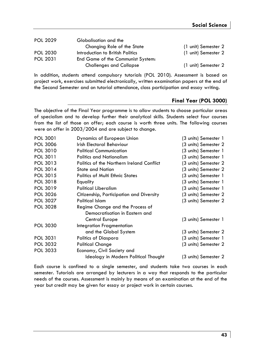| <b>POL 2029</b> | Globalisation and the             |                     |
|-----------------|-----------------------------------|---------------------|
|                 | Changing Role of the State        | (1 unit) Semester 2 |
| <b>POL 2030</b> | Introduction to British Politics  | (1 unit) Semester 2 |
| <b>POL 2031</b> | End Game of the Communist System: |                     |
|                 | <b>Challenges and Collapse</b>    | (1 unit) Semester 2 |

In addition, students attend compulsory tutorials (POL 2010). Assessment is based on project work, exercises submitted electronically, written examination papers at the end of the Second Semester and on tutorial attendance, class participation and essay writing.

#### **Final Year (POL 3000)**

The objective of the Final Year programme is to allow students to choose particular areas of specialism and to develop further their analytical skills. Students select four courses from the list of those on offer; each course is worth three units. The following courses were on offer in 2003/2004 and are subject to change.

| (3 units) Semester 2 |
|----------------------|
|                      |
| (3 units) Semester 1 |
| (3 units) Semester 1 |
| (3 units) Semester 2 |
| (3 units) Semester 2 |
| (3 units) Semester 1 |
| (3 units) Semester 1 |
| (3 units) Semester 1 |
| (3 units) Semester 2 |
| (3 units) Semester 2 |
|                      |
|                      |
| (3 units) Semester 1 |
|                      |
| (3 units) Semester 2 |
| (3 units) Semester 1 |
| (3 units) Semester 2 |
|                      |
| (3 units) Semester 2 |
|                      |

Each course is confined to a single semester, and students take two courses in each semester. Tutorials are arranged by lecturers in a way that responds to the particular needs of the courses. Assessment is mainly by means of an examination at the end of the year but credit may be given for essay or project work in certain courses.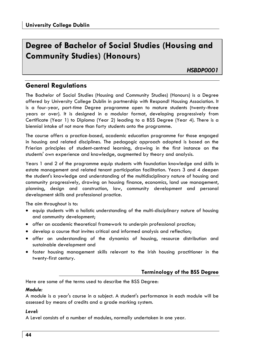# **Degree of Bachelor of Social Studies (Housing and Community Studies) (Honours)**

*HSBDP0001* 

# **General Regulations**

The Bachelor of Social Studies (Housing and Community Studies) (Honours) is a Degree offered by University College Dublin in partnership with Respond! Housing Association. It is a four-year, part-time Degree programme open to mature students (twenty-three years or over). It is designed in a modular format, developing progressively from Certificate (Year 1) to Diploma (Year 2) leading to a BSS Degree (Year 4). There is a biennial intake of not more than forty students onto the programme.

The course offers a practice-based, academic education programme for those engaged in housing and related disciplines. The pedagogic approach adopted is based on the Frierian principles of student-centred learning, drawing in the first instance on the students' own experience and knowledge, augmented by theory and analysis.

Years 1 and 2 of the programme equip students with foundation knowledge and skills in estate management and related tenant participation facilitation. Years 3 and 4 deepen the student's knowledge and understanding of the multidisciplinary nature of housing and community progressively, drawing on housing finance, economics, land use management, planning, design and construction, law, community development and personal development skills and professional practice.

The aim throughout is to:

- equip students with a holistic understanding of the multi-disciplinary nature of housing and community development;
- offer an academic theoretical framework to underpin professional practice;
- develop a course that invites critical and informed analysis and reflection;
- offer an understanding of the dynamics of housing, resource distribution and sustainable development and
- foster housing management skills relevant to the Irish housing practitioner in the twenty-first century.

### **Terminology of the BSS Degree**

Here are some of the terms used to describe the BSS Degree:

### *Module:*

A module is a year's course in a subject. A student's performance in each module will be assessed by means of credits and a grade marking system.

#### *Level:*

A Level consists of a number of modules, normally undertaken in one year.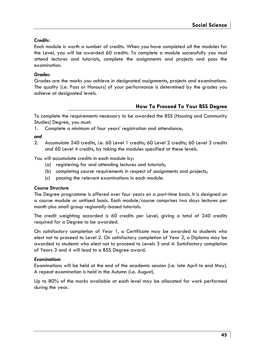### *Credits:*

Each module is worth a number of credits. When you have completed all the modules for the Level, you will be awarded 60 credits. To complete a module successfully you must attend lectures and tutorials, complete the assignments and projects and pass the examination.

#### *Grades:*

Grades are the marks you achieve in designated assignments, projects and examinations. The quality (i.e. Pass or Honours) of your performance is determined by the grades you achieve at designated levels.

### **How To Proceed To Your BSS Degree**

To complete the requirements necessary to be awarded the BSS (Housing and Community Studies) Degree, you must:

1. Complete a minimum of four years' registration and attendance,

#### *and*

2. Accumulate 240 credits, i.e. 60 Level 1 credits; 60 Level 2 credits; 60 Level 3 credits and 60 Level 4 credits, by taking the modules specified at these levels.

You will accumulate credits in each module by:

- (a) registering for and attending lectures and tutorials;
- (b) completing course requirements in respect of assignments and projects;
- (c) passing the relevant examinations in each module.

#### *Course Structure*

The Degree programme is offered over four years on a part-time basis. It is designed on a course module or unitised basis. Each module/course comprises two days lectures per month plus small group regionally-based tutorials.

The credit weighting accorded is 60 credits per Level, giving a total of 240 credits required for a Degree to be awarded.

On satisfactory completion of Year 1, a Certificate may be awarded to students who elect not to proceed to Level 2. On satisfactory completion of Year 2, a Diploma may be awarded to students who elect not to proceed to Levels 3 and 4. Satisfactory completion of Years 3 and 4 will lead to a BSS Degree award.

#### *Examinations*

Examinations will be held at the end of the academic session (i.e. late April to end May). A repeat examination is held in the Autumn (i.e. August).

Up to 80% of the marks available at each level may be allocated for work performed during the year.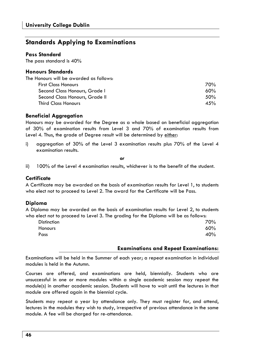# **Standards Applying to Examinations**

#### **Pass Standard**

The pass standard is 40%

#### **Honours Standards**

| The Honours will be awarded as follows: |     |
|-----------------------------------------|-----|
| <b>First Class Honours</b>              | 70% |
| Second Class Honours, Grade I           | 60% |
| Second Class Honours, Grade II          | 50% |
| <b>Third Class Honours</b>              | 45% |

#### **Beneficial Aggregation**

Honours may be awarded for the Degree as a whole based on beneficial aggregation of 30% of examination results from Level 3 and 70% of examination results from Level 4. Thus, the grade of Degree result will be determined by either:

i) aggregation of 30% of the Level 3 examination results plus 70% of the Level 4 examination results.

*or* 

ii) 100% of the Level 4 examination results, whichever is to the benefit of the student.

#### **Certificate**

A Certificate may be awarded on the basis of examination results for Level 1, to students who elect not to proceed to Level 2. The award for the Certificate will be Pass.

#### **Diploma**

A Diploma may be awarded on the basis of examination results for Level 2, to students who elect not to proceed to Level 3. The grading for the Diploma will be as follows:

| <b>Distinction</b> | 70% |
|--------------------|-----|
| <b>Honours</b>     | 60% |
| Pass               | 40% |

#### **Examinations and Repeat Examinations:**

Examinations will be held in the Summer of each year; a repeat examination in individual modules is held in the Autumn.

Courses are offered, and examinations are held, biennially. Students who are unsuccessful in one or more modules within a single academic session may repeat the module(s) in another academic session. Students will have to wait until the lectures in that module are offered again in the biennial cycle.

Students may repeat a year by attendance only. They must register for, and attend, lectures in the modules they wish to study, irrespective of previous attendance in the same module. A fee will be charged for re-attendance.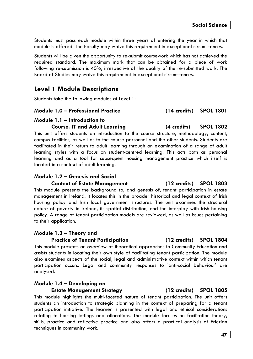Students must pass each module within three years of entering the year in which that module is offered. The Faculty may waive this requirement in exceptional circumstances.

Students will be given the opportunity to re-submit coursework which has not achieved the required standard. The maximum mark that can be obtained for a piece of work following re-submission is 40%, irrespective of the quality of the re-submitted work. The Board of Studies may waive this requirement in exceptional circumstances.

# **Level 1 Module Descriptions**

Students take the following modules at Level 1:

#### **Module 1.0 – Professional Practice (14 credits) SPOL 1801**

#### **Module 1.1 – Introduction to Course, IT and Adult Learning (4 credits) SPOL 1802**

This unit offers students an introduction to the course structure, methodology, content, campus facilities, as well as to the course personnel and the other students. Students are facilitated in their return to adult learning through an examination of a range of adult learning styles with a focus on student-centred learning. This acts both as personal learning and as a tool for subsequent housing management practice which itself is located in a context of adult learning.

### **Module 1.2 – Genesis and Social**

#### **Context of Estate Management (12 credits) SPOL 1803**

This module presents the background to, and genesis of, tenant participation in estate management in Ireland. It locates this in the broader historical and legal context of Irish housing policy and Irish local government structures. The unit examines the structural nature of poverty in Ireland, its spatial distribution, and the interplay with Irish housing policy. A range of tenant participation models are reviewed, as well as issues pertaining to their application.

### **Module 1.3 – Theory and**

#### **Practice of Tenant Participation (12 credits) SPOL 1804**

This module presents an overview of theoretical approaches to Community Education and assists students in locating their own style of facilitating tenant participation. The module also examines aspects of the social, legal and administrative context within which tenant participation occurs. Legal and community responses to 'anti-social behaviour' are analysed.

#### **Module 1.4 – Developing an**

**Estate Management Strategy (12 credits) SPOL 1805** 

This module highlights the multi-faceted nature of tenant participation. The unit offers students an introduction to strategic planning in the context of preparing for a tenant participation initiative. The learner is presented with legal and ethical considerations relating to housing lettings and allocations. The module focuses on facilitation theory, skills, practice and reflective practice and also offers a practical analysis of Frierian techniques in community work.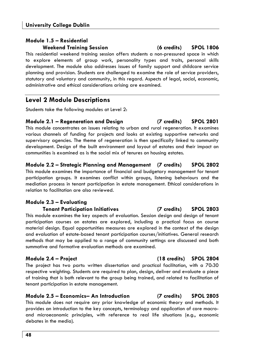# **Module 1.5 – Residential Weekend Training Session (6 credits) SPOL 1806**

This residential weekend training session offers students a non-pressured space in which to explore elements of group work, personality types and traits, personal skills development. The module also addresses issues of family support and childcare service planning and provision. Students are challenged to examine the role of service providers, statutory and voluntary and community, in this regard. Aspects of legal, social, economic, administrative and ethical considerations arising are examined.

# **Level 2 Module Descriptions**

Students take the following modules at Level 2:

#### **Module 2.1 – Regeneration and Design (7 credits) SPOL 2801**  This module concentrates on issues relating to urban and rural regeneration. It examines various channels of funding for projects and looks at existing supportive networks and supervisory agencies. The theme of regeneration is then specifically linked to community development. Design of the built environment and layout of estates and their impact on communities is examined as is the social mix of tenures on housing estates.

**Module 2.2 – Strategic Planning and Management (7 credits) SPOL 2802**  This module examines the importance of financial and budgetary management for tenant participation groups. It examines conflict within groups, listening behaviours and the mediation process in tenant participation in estate management. Ethical considerations in relation to facilitation are also reviewed.

### **Module 2.3 – Evaluating**

#### **Tenant Participation Initiatives (7 credits) SPOL 2803**

This module examines the key aspects of evaluation. Session design and design of tenant participation courses on estates are explored, including a practical focus on course material design. Equal opportunities measures are explored in the context of the design and evaluation of estate-based tenant participation courses/initiatives. General research methods that may be applied to a range of community settings are discussed and both summative and formative evaluation methods are examined.

The project has two parts: written dissertation and practical facilitation, with a 70:30 respective weighting. Students are required to plan, design, deliver and evaluate a piece of training that is both relevant to the group being trained, and related to facilitation of tenant participation in estate management.

### **Module 2.5 – Economics– An Introduction (7 credits) SPOL 2805**

This module does not require any prior knowledge of economic theory and methods. It provides an introduction to the key concepts, terminology and application of core macroand microeconomic principles, with reference to real life situations (e.g., economic debates in the media).

# **Module 2.4 – Project (18 credits) SPOL 2804**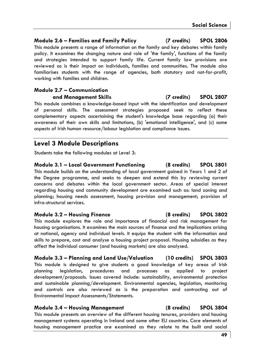### **Module 2.6 – Families and Family Policy (7 credits) SPOL 2806**

This module presents a range of information on the family and key debates within family policy. It examines the changing nature and role of 'the family', functions of the family and strategies intended to support family life. Current family law provisions are reviewed as is their impact on individuals, families and communities. The module also familiarises students with the range of agencies, both statutory and not-for-profit, working with families and children.

### **Module 2.7 – Communication and Management Skills (7 credits) SPOL 2807**

This module combines a knowledge-based input with the identification and development of personal skills. The assessment strategies proposed seek to reflect these complementary aspects ascertaining the student's knowledge base regarding (a) their awareness of their own skills and limitations, (b) 'emotional intelligence', and (c) some aspects of Irish human resource/labour legislation and compliance issues.

# **Level 3 Module Descriptions**

Students take the following modules at Level 3:

**Module 3.1 – Local Government Functioning (8 credits) SPOL 3801**  This module builds on the understanding of local government gained in Years 1 and 2 of the Degree programme, and seeks to deepen and extend this by reviewing current concerns and debates within the local government sector. Areas of special interest regarding housing and community development are examined such as: land zoning and planning; housing needs assessment, housing provision and management; provision of infra-structural services.

#### **Module 3.2 – Housing Finance (8 credits) SPOL 3802**

This module explores the role and importance of financial and risk management for housing organisations. It examines the main sources of finance and the implications arising at national, agency and individual levels. It equips the student with the information and skills to prepare, cost and analyse a housing project proposal. Housing subsidies as they affect the individual consumer (and housing markets) are also analysed.

**Module 3.3 – Planning and Land Use/Valuation (10 credits) SPOL 3803**  This module is designed to give students a good knowledge of key areas of Irish planning legislation, procedures and processes as applied to project development/proposals. Issues covered include: sustainability, environmental protection and sustainable planning/development. Environmental agencies, legislation, monitoring and controls are also reviewed as is the preparation and contracting out of Environmental Impact Assessments/Statements.

### **Module 3.4 – Housing Management (8 credits) SPOL 3804**

This module presents an overview of the different housing tenures, providers and housing management systems operating in Ireland and some other EU countries. Core elements of housing management practice are examined as they relate to the built and social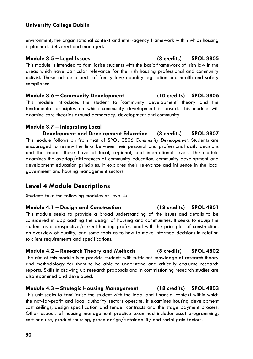environment, the organisational context and inter-agency framework within which housing is planned, delivered and managed.

# **Module 3.5 – Legal Issues (8 credits) SPOL 3805**

This module is intended to familiarise students with the basic framework of Irish law in the areas which have particular relevance for the Irish housing professional and community activist. These include aspects of family law; equality legislation and health and safety compliance

**Module 3.6 – Community Development (10 credits) SPOL 3806**  This module introduces the student to 'community development' theory and the fundamental principles on which community development is based. This module will examine core theories around democracy, development and community.

### **Module 3.7 – Integrating Local**

**Development and Development Education (8 credits) SPOL 3807**  This module follows on from that of SPOL 3806 *Community Development*. Students are encouraged to review the links between their personal and professional daily decisions and the impact these have at local, regional, and international levels. The module examines the overlap/differences of community education, community development and development education principles. It explores their relevance and influence in the local government and housing management sectors.

# **Level 4 Module Descriptions**

Students take the following modules at Level 4:

**Module 4.1 – Design and Construction (18 credits) SPOL 4801**  This module seeks to provide a broad understanding of the issues and details to be considered in approaching the design of housing and communities. It seeks to equip the student as a prospective/current housing professional with the principles of construction, an overview of quality, and some tools as to how to make informed decisions in relation to client requirements and specifications.

**Module 4.2 – Research Theory and Methods (8 credits) SPOL 4802**  The aim of this module is to provide students with sufficient knowledge of research theory and methodology for them to be able to understand and critically evaluate research reports. Skills in drawing up research proposals and in commissioning research studies are also examined and developed.

**Module 4.3 – Strategic Housing Management (18 credits) SPOL 4803**  This unit seeks to familiarise the student with the legal and financial context within which the not-for-profit and local authority sectors operate. It examines housing development cost ceilings, design specification and tender contracts and the stage payment process. Other aspects of housing management practice examined include: asset programming, cost and use, product sourcing, green design/sustainability and social gain factors.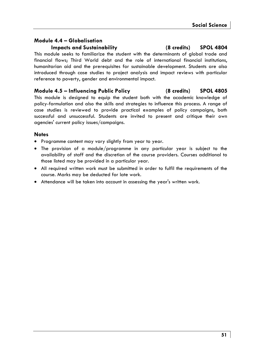# **Module 4.4 – Globalisation**

**Impacts and Sustainability (8 credits) SPOL 4804** 

This module seeks to familiarize the student with the determinants of global trade and financial flows; Third World debt and the role of international financial institutions, humanitarian aid and the prerequisites for sustainable development. Students are also introduced through case studies to project analysis and impact reviews with particular reference to poverty, gender and environmental impact.

### **Module 4.5 – Influencing Public Policy (8 credits) SPOL 4805**

This module is designed to equip the student both with the academic knowledge of policy-formulation and also the skills and strategies to influence this process. A range of case studies is reviewed to provide practical examples of policy campaigns, both successful and unsuccessful. Students are invited to present and critique their own agencies' current policy issues/campaigns.

### **Notes**

- Programme content may vary slightly from year to year.
- The provision of a module/programme in any particular year is subject to the availability of staff and the discretion of the course providers. Courses additional to those listed may be provided in a particular year.
- All required written work must be submitted in order to fulfil the requirements of the course. Marks may be deducted for late work.
- Attendance will be taken into account in assessing the year's written work.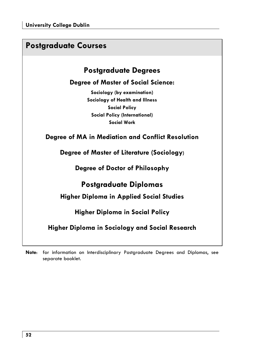| <b>Postgraduate Courses</b>                                                                                                                         |  |
|-----------------------------------------------------------------------------------------------------------------------------------------------------|--|
| <b>Postgraduate Degrees</b>                                                                                                                         |  |
| <b>Degree of Master of Social Science:</b>                                                                                                          |  |
| Sociology (by examination)<br>Sociology of Health and Illness<br><b>Social Policy</b><br><b>Social Policy (International)</b><br><b>Social Work</b> |  |
| Degree of MA in Mediation and Conflict Resolution                                                                                                   |  |
| Degree of Master of Literature (Sociology)                                                                                                          |  |
| Degree of Doctor of Philosophy                                                                                                                      |  |
| Postgraduate Diplomas                                                                                                                               |  |
| <b>Higher Diploma in Applied Social Studies</b>                                                                                                     |  |
| <b>Higher Diploma in Social Policy</b>                                                                                                              |  |
| Higher Diploma in Sociology and Social Research                                                                                                     |  |
|                                                                                                                                                     |  |

**Note**: for information on Interdisciplinary Postgraduate Degrees and Diplomas, see separate booklet.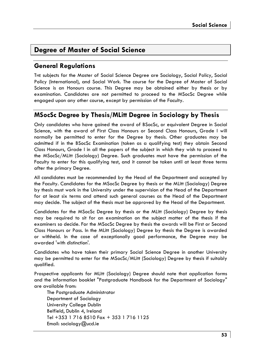# **Degree of Master of Social Science**

# **General Regulations**

THE subjects for the Master of Social Science Degree are Sociology, Social Policy, Social Policy (International), and Social Work. The course for the Degree of Master of Social Science is an Honours course. This Degree may be obtained either by thesis or by examination. Candidates are not permitted to proceed to the MSocSc Degree while engaged upon any other course, except by permission of the Faculty.

# **MSocSc Degree by Thesis/MLitt Degree in Sociology by Thesis**

Only candidates who have gained the award of BSocSc, or equivalent Degree in Social Science, with the award of First Class Honours or Second Class Honours, Grade I will normally be permitted to enter for the Degree by thesis. Other graduates may be admitted if in the BSocSc Examination (taken as a qualifying test) they obtain Second Class Honours, Grade I in all the papers of the subject in which they wish to proceed to the MSocSc/MLitt (Sociology) Degree. Such graduates must have the permission of the Faculty to enter for this qualifying test, and it cannot be taken until at least three terms after the primary Degree.

All candidates must be recommended by the Head of the Department and accepted by the Faculty. Candidates for the MSocSc Degree by thesis or the MLitt (Sociology) Degree by thesis must work in the University under the supervision of the Head of the Department for at least six terms and attend such general courses as the Head of the Department may decide. The subject of the thesis must be approved by the Head of the Department.

Candidates for the MSocSc Degree by thesis or the MLitt (Sociology) Degree by thesis may be required to sit for an examination on the subject matter of the thesis if the examiners so decide. For the MSocSc Degree by thesis the awards will be First or Second Class Honours or Pass. In the MLitt (Sociology) Degree by thesis the Degree is awarded or withheld. In the case of exceptionally good performance, the Degree may be awarded 'with distinction'.

Candidates who have taken their primary Social Science Degree in another University may be permitted to enter for the MSocSc/MLitt (Sociology) Degree by thesis if suitably qualified.

Prospective applicants for MLitt (Sociology) Degree should note that application forms and the information booklet "Postgraduate Handbook for the Department of Sociology" are available from:

The Postgraduate Administrator Department of Sociology University College Dublin Belfield, Dublin 4, Ireland Tel +353 1 716 8510 Fax + 353 1 716 1125 Email: sociology@ucd.ie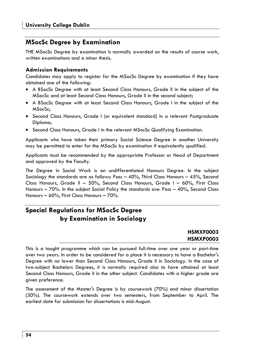# **MSocSc Degree by Examination**

THE MSocSc Degree by examination is normally awarded on the results of course work, written examinations and a minor thesis.

### **Admission Requirements**

Candidates may apply to register for the MSocSc Degree by examination if they have obtained one of the following:

- A BSocSc Degree with at least Second Class Honours, Grade II in the subject of the MSocSc and at least Second Class Honours, Grade II in the second subject;
- A BSocSc Degree with at least Second Class Honours, Grade I in the subject of the MSocSc;
- Second Class Honours, Grade I (or equivalent standard) in a relevant Postgraduate Diploma;
- Second Class Honours, Grade I in the relevant MSocSc Qualifying Examination.

Applicants who have taken their primary Social Science Degree in another University may be permitted to enter for the MSocSc by examination if equivalently qualified.

Applicants must be recommended by the appropriate Professor or Head of Department and approved by the Faculty.

The Degree in Social Work is an undifferentiated Honours Degree. In the subject Sociology the standards are as follows: Pass – 40%, Third Class Honours – 45%, Second Class Honours, Grade II – 50%, Second Class Honours, Grade I – 60%, First Class Honours – 70%. In the subject Social Policy the standards are: Pass – 40%, Second Class Honours – 60%, First Class Honours – 70%.

# **Special Regulations for MSocSc Degree by Examination in Sociology**

### **HSMXF0003 HSMXP0003**

This is a taught programme which can be pursued full-time over one year or part-time over two years. In order to be considered for a place it is necessary to have a Bachelor's Degree with no lower than Second Class Honours, Grade II in Sociology. In the case of two-subject Bachelors Degrees, it is normally required also to have attained at least Second Class Honours, Grade II in the other subject. Candidates with a higher grade are given preference.

The assessment of the Master's Degree is by coursework (70%) and minor dissertation (30%). The coursework extends over two semesters, from September to April. The earliest date for submission for dissertations is mid-August.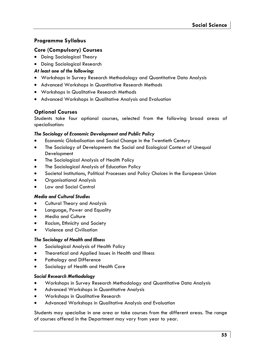### **Programme Syllabus**

#### **Core (Compulsory) Courses**

- Doing Sociological Theory
- Doing Sociological Research

#### *At least one of the following:*

- Workshops in Survey Research Methodology and Quantitative Data Analysis
- Advanced Workshops in Quantitative Research Methods
- Workshops in Qualitative Research Methods
- Advanced Workshops in Qualitative Analysis and Evaluation

### **Optional Courses**

Students take four optional courses, selected from the following broad areas of specialisation:

#### *The Sociology of Economic Development and Public Policy*

- Economic Globalisation and Social Change in the Twentieth Century
- The Sociology of Development: the Social and Ecological Context of Unequal Development
- The Sociological Analysis of Health Policy
- The Sociological Analysis of Education Policy
- Societal Institutions, Political Processes and Policy Choices in the European Union
- Organisational Analysis
- Law and Social Control

#### *Media and Cultural Studies*

- Cultural Theory and Analysis
- Language, Power and Equality
- Media and Culture
- Racism, Ethnicity and Society
- Violence and Civilisation

#### *The Sociology of Health and Illness*

- Sociological Analysis of Health Policy
- Theoretical and Applied Issues in Health and Illness
- Pathology and Difference
- Sociology of Health and Health Care

#### *Social Research Methodology*

- Workshops in Survey Research Methodology and Quantitative Data Analysis
- Advanced Workshops in Quantitative Analysis
- Workshops in Qualitative Research
- Advanced Workshops in Qualitative Analysis and Evaluation

Students may specialise in one area or take courses from the different areas. The range of courses offered in the Department may vary from year to year.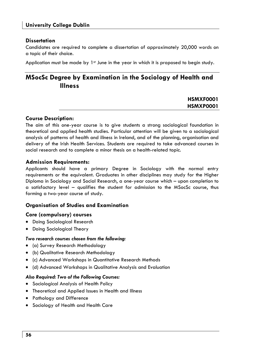#### **Dissertation**

Candidates are required to complete a dissertation of approximately 20,000 words on a topic of their choice.

Application must be made by  $1<sup>st</sup>$  June in the year in which it is proposed to begin study.

# **MSocSc Degree by Examination in the Sociology of Health and Illness**

### **HSMXF0001 HSMXP0001**

#### **Course Description:**

The aim of this one-year course is to give students a strong sociological foundation in theoretical and applied health studies. Particular attention will be given to a sociological analysis of patterns of health and illness in Ireland, and of the planning, organisation and delivery of the Irish Health Services. Students are required to take advanced courses in social research and to complete a minor thesis on a health-related topic.

#### **Admission Requirements:**

Applicants should have a primary Degree in Sociology with the normal entry requirements or the equivalent. Graduates in other disciplines may study for the Higher Diploma in Sociology and Social Research, a one-year course which – upon completion to a satisfactory level – qualifies the student for admission to the MSocSc course, thus forming a two-year course of study.

### **Organisation of Studies and Examination**

#### **Core (compulsory) courses**

- Doing Sociological Research
- Doing Sociological Theory

#### *Two research courses chosen from the following:*

- (a) Survey Research Methodology
- (b) Qualitative Research Methodology
- (c) Advanced Workshops in Quantitative Research Methods
- (d) Advanced Workshops in Qualitative Analysis and Evaluation

#### *Also Required: Two of the Following Courses:*

- Sociological Analysis of Health Policy
- Theoretical and Applied Issues in Health and Illness
- Pathology and Difference
- Sociology of Health and Health Care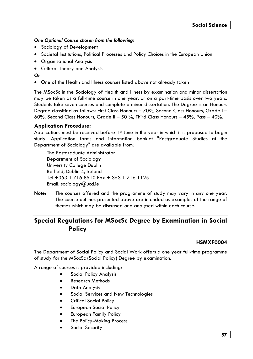#### *One Optional Course chosen from the following:*

- Sociology of Development
- Societal Institutions, Political Processes and Policy Choices in the European Union
- Organisational Analysis
- Cultural Theory and Analysis

#### *Or*

• One of the Health and Illness courses listed above not already taken

The MSocSc in the Sociology of Health and Illness by examination and minor dissertation may be taken as a full-time course in one year, or on a part-time basis over two years. Students take seven courses and complete a minor dissertation. The Degree is an Honours Degree classified as follows: First Class Honours – 70%, Second Class Honours, Grade I – 60%, Second Class Honours, Grade II – 50 %, Third Class Honours – 45%, Pass – 40%.

#### **Application Procedure:**

Applications must be received before 1<sup>st</sup> June in the year in which it is proposed to begin study. Application forms and information booklet "Postgraduate Studies at the Department of Sociology" are available from:

The Postaraduate Administrator Department of Sociology University College Dublin Belfield, Dublin 4, Ireland Tel +353 1 716 8510 Fax + 353 1 716 1125 Email: sociology@ucd.ie

**Note**: The courses offered and the programme of study may vary in any one year. The course outlines presented above are intended as examples of the range of themes which may be discussed and analysed within each course.

# **Special Regulations for MSocSc Degree by Examination in Social Policy**

### **HSMXF0004**

The Department of Social Policy and Social Work offers a one year full-time programme of study for the MSocSc (Social Policy) Degree by examination.

A range of courses is provided including:

- Social Policy Analysis
- Research Methods
- Data Analysis
- Social Services and New Technologies
- Critical Social Policy
- European Social Policy
- European Family Policy
- The Policy-Making Process
- Social Security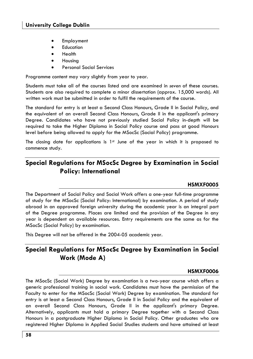- **Employment**
- **Fducation**
- Health
- Housing
- Personal Social Services

Programme content may vary slightly from year to year.

Students must take all of the courses listed and are examined in *seven* of these courses. Students are also required to complete a minor dissertation (approx. 15,000 words). All written work must be submitted in order to fulfil the requirements of the course.

The standard for entry is at least a Second Class Honours, Grade II in Social Policy, and the equivalent of an overall Second Class Honours, Grade II in the applicant's primary Degree. Candidates who have not previously studied Social Policy in-depth will be required to take the Higher Diploma in Social Policy course and pass at good Honours level before being allowed to apply for the MSocSc (Social Policy) programme.

The closing date for applications is  $1st$  June of the year in which it is proposed to commence study.

# **Special Regulations for MSocSc Degree by Examination in Social Policy: International**

### **HSMXF0005**

The Department of Social Policy and Social Work offers a one-year full-time programme of study for the MSocSc (Social Policy: International) by examination. A period of study abroad in an approved foreign university during the academic year is an integral part of the Degree programme. Places are limited and the provision of the Degree in any year is dependent on available resources. Entry requirements are the same as for the MSocSc (Social Policy) by examination.

This Degree will not be offered in the 2004-05 academic year.

# **Special Regulations for MSocSc Degree by Examination in Social Work (Mode A)**

### **HSMXF0006**

The MSocSc (Social Work) Degree by examination is a two-year course which offers a generic professional training in social work. Candidates must have the permission of the Faculty to enter for the MSocSc (Social Work) Degree by examination. The standard for entry is at least a Second Class Honours, Grade II in Social Policy and the equivalent of an overall Second Class Honours, Grade II in the applicant's primary Degree. Alternatively, applicants must hold a primary Degree together with a Second Class Honours in a postgraduate Higher Diploma in Social Policy. Other graduates who are registered Higher Diploma in Applied Social Studies students and have attained at least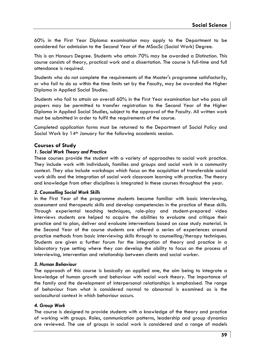60% in the First Year Diploma examination may apply to the Department to be considered for admission to the Second Year of the MSocSc (Social Work) Degree.

This is an Honours Degree. Students who attain 70% may be awarded a Distinction. This course consists of theory, practical work and a dissertation. The course is full-time and full attendance is required.

Students who do not complete the requirements of the Master's programme satisfactorily, or who fail to do so within the time limits set by the Faculty, may be awarded the Higher Diploma in Applied Social Studies.

Students who fail to attain an overall 60% in the First Year examination but who pass all papers may be permitted to transfer registration to the Second Year of the Higher Diploma in Applied Social Studies, subject to the approval of the Faculty. All written work must be submitted in order to fulfil the requirements of the course.

Completed application forms must be returned to the Department of Social Policy and Social Work by 14<sup>th</sup> January for the following academic session.

### **Courses of Study**

#### *1. Social Work Theory and Practice*

These courses provide the student with a variety of approaches to social work practice. They include work with individuals, families and groups and social work in a community context. They also include workshops which focus on the acquisition of transferable social work skills and the integration of social work classroom learning with practice. The theory and knowledge from other disciplines is integrated in these courses throughout the year.

#### *2. Counselling Social Work Skills*

In the First Year of the programme students become familiar with basic interviewing, assessment and therapeutic skills and develop competencies in the practice of these skills. Through experiental teaching techniques, role-play and student-prepared video interviews students are helped to acquire the abilities to evaluate and critique their practice and to plan, deliver and evaluate interventions based on case study material. In the Second Year of the course students are offered a series of experiences around practice methods from basic interviewing skills through to counselling/therapy techniques. Students are given a further forum for the integration of theory and practice in a laboratory type setting where they can develop the ability to focus on the process of interviewing, intervention and relationship between clients and social worker.

#### *3. Human Behaviour*

The approach of this course is basically an applied one, the aim being to integrate a knowledge of human growth and behaviour with social work theory. The importance of the family and the development of interpersonal relationships is emphasised. The range of behaviour from what is considered normal to abnormal is examined as is the sociocultural context in which behaviour occurs.

#### *4. Group Work*

The course is designed to provide students with a knowledge of the theory and practice of working with groups. Roles, communication patterns, leadership and group dynamics are reviewed. The use of groups in social work is considered and a range of models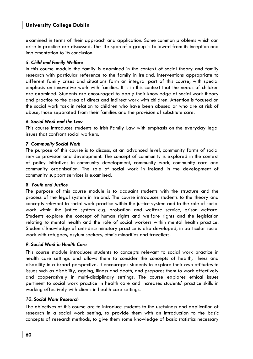examined in terms of their approach and application. Some common problems which can arise in practice are discussed. The life span of a group is followed from its inception and implementation to its conclusion.

#### *5. Child and Family Welfare*

In this course module the family is examined in the context of social theory and family research with particular reference to the family in Ireland. Interventions appropriate to different family crises and situations form an integral part of this course, with special emphasis on innovative work with families. It is in this context that the needs of children are examined. Students are encouraged to apply their knowledge of social work theory and practice to the area of direct and indirect work with children. Attention is focused on the social work task in relation to children who have been abused or who are at risk of abuse, those separated from their families and the provision of substitute care.

#### *6. Social Work and the Law*

This course introduces students to Irish Family Law with emphasis on the everyday legal issues that confront social workers.

#### *7. Community Social Work*

The purpose of this course is to discuss, at an advanced level, community forms of social service provision and development. The concept of community is explored in the context of policy initiatives in community development, community work, community care and community organisation. The role of social work in Ireland in the development of community support services is examined.

#### *8. Youth and Justice*

The purpose of this course module is to acquaint students with the structure and the process of the legal system in Ireland. The course introduces students to the theory and concepts relevant to social work practice within the justice system and to the role of social work within the justice system e.g. probation and welfare service, prison welfare. Students explore the concept of human rights and welfare rights and the legislation relating to mental health and the role of social workers within mental health practice. Students' knowledge of anti-discriminatory practice is also developed, in particular social work with refugees, asylum seekers, ethnic minorities and travellers.

#### *9. Social Work in Health Care*

This course module introduces students to concepts relevant to social work practice in health care settings and allows them to consider the concepts of health, illness and disability in a broad perspective. It encourages students to explore their own attitudes to issues such as disability, ageing, illness and death, and prepares them to work effectively and cooperatively in multi-disciplinary settings. The course explores ethical issues pertinent to social work practice in health care and increases students' practice skills in working effectively with clients in health care settings.

#### *10. Social Work Research*

The objectives of this course are to introduce students to the usefulness and application of research in a social work setting, to provide them with an introduction to the basic concepts of research methods, to give them some knowledge of basic statistics necessary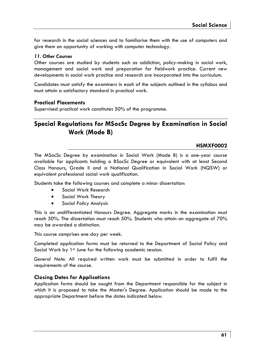for research in the social sciences and to familiarise them with the use of computers and give them an opportunity of working with computer technology.

#### *11. Other Courses*

Other courses are studied by students such as addiction, policy-making in social work, management and social work and preparation for fieldwork practice. Current new developments in social work practice and research are incorporated into the curriculum.

Candidates must satisfy the examiners in each of the subjects outlined in the syllabus and must attain a satisfactory standard in practical work.

### **Practical Placements**

Supervised practical work constitutes 50% of the programme.

# **Special Regulations for MSocSc Degree by Examination in Social Work (Mode B)**

### **HSMXF0002**

The MSocSc Degree by examination in Social Work (Mode B) is a one-year course available for applicants holding a BSocSc Degree or equivalent with at least Second Class Honours, Grade II and a National Qualification in Social Work (NQSW) or equivalent professional social work qualification.

Students take the following courses and complete a minor dissertation:

- Social Work Research
- Social Work Theory
- Social Policy Analysis

This is an undifferentiated Honours Degree. Aggregate marks in the examination must reach 50%. The dissertation must reach 50%. Students who attain an aggregate of 70% may be awarded a distinction.

This course comprises one day per week.

Completed application forms must be returned to the Department of Social Policy and Social Work by 1<sup>st</sup> June for the following academic session.

*General Note*: All required written work must be submitted in order to fulfil the requirements of the course.

### **Closing Dates for Applications**

Application forms should be sought from the Department responsible for the subject in which it is proposed to take the Master's Degree. Application should be made to the appropriate Department before the dates indicated below.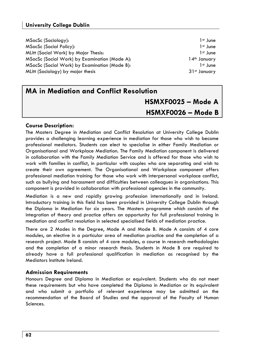### **University College Dublin**

| MSocSc (Sociology):                           | 1 <sup>st</sup> June     |
|-----------------------------------------------|--------------------------|
| <b>MSocSc (Social Policy):</b>                | 1 <sup>st</sup> June     |
| MLitt (Social Work) by Major Thesis:          | 1 <sup>st</sup> June     |
| MSocSc (Social Work) by Examination (Mode A): | 14 <sup>th</sup> January |
| MSocSc (Social Work) by Examination (Mode B): | 1 <sup>st</sup> June     |
| MLitt (Sociology) by major thesis             | 31st January             |

# **MA in Mediation and Conflict Resolution HSMXF0025 – Mode A HSMXF0026 – Mode B**

#### **Course Description:**

The Masters Degree in Mediation and Conflict Resolution at University College Dublin provides a challenging learning experience in mediation for those who wish to become professional mediators. Students can elect to specialise in either Family Mediation or Organisational and Workplace Mediation. The Family Mediation component is delivered in collaboration with the Family Mediation Service and is offered for those who wish to work with families in conflict, in particular with couples who are separating and wish to create their own agreement. The Organisational and Workplace component offers professional mediation training for those who work with interpersonal workplace conflict, such as bullying and harassment and difficulties between colleagues in organisations. This component is provided in collaboration with professional agencies in the community.

Mediation is a new and rapidly growing profession internationally and in Ireland. Introductory training in this field has been provided in University College Dublin through the Diploma in Mediation for six years. The Masters programme which consists of the integration of theory and practice offers an opportunity for full professional training in mediation and conflict resolution in selected specialised fields of mediation practice.

There are 2 Modes in the Degree, Mode A and Mode B. Mode A consists of 4 core modules, an elective in a particular area of mediation practice and the completion of a research project. Mode B consists of 4 core modules, a course in research methodologies and the completion of a minor research thesis. Students in Mode B are required to already have a full professional qualification in mediation as recognised by the Mediators Institute Ireland.

#### **Admission Requirements**

Honours Degree and Diploma in Mediation or equivalent. Students who do not meet these requirements but who have completed the Diploma in Mediation or its equivalent and who submit a portfolio of relevant experience may be admitted on the recommendation of the Board of Studies and the approval of the Faculty of Human Sciences.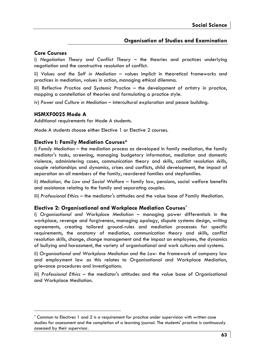### **Organisation of Studies and Examination**

### **Core Courses**

i) *Negotiation Theory and Conflict Theory* – the theories and practices underlying negotiation and the constructive resolution of conflict.

ii) *Values and the Self in Mediation* – values implicit in theoretical frameworks and practices in mediation, values in action, managing ethical dilemma.

iii) *Reflective Practice and Systemic Practice –* the development of artistry in practice, mapping a constellation of theories and formulating a practice style.

iv) *Power and Culture in Mediation* – intercultural exploration and peace building.

#### **HSMXF0025 Mode A**

Additional requirements for Mode A students.

Mode A students choose either Elective 1 or Elective 2 courses.

#### **Elective I: Family Mediation Courses\***

i) *Family Mediation –* the mediation process as developed in family mediation, the family mediator's tasks, screening, managing budgetary information, mediation and domestic violence, administering cases, communication theory and skills, conflict resolution skills, couple relationships and dynamics, crises and conflicts, child development, the impact of separation on all members of the family, reordered families and stepfamilies.

ii) *Mediation, the Law and Social Welfare* – family law, pensions, social welfare benefits and assistance relating to the family and separating couples.

iii) *Professional Ethics* – the mediator's attitudes and the value base of Family Mediation.

#### **Elective 2: Organisational and Workplace Mediation Courses\***

i) *Organisational and Workplace Mediation* – managing power differentials in the workplace, revenge and forgiveness, managing apology, dispute systems design, writing agreements, creating tailored ground-rules and mediation processes for specific requirements, the anatomy of mediation, communication theory and skills, conflict resolution skills, change, change management and the impact on employees, the dynamics of bullying and harassment, the variety of organisational and work cultures and systems.

ii) *Organisational and Workplace Mediation and the Law*- the framework of company law and employment law as this relates to Organisational and Workplace Mediation, grievance procedures and investigations.

iii) *Professional Ethics* – the mediator's attitudes and the value base of Organisational and Workplace Mediation.

<sup>\*</sup> Common to Electives 1 and 2 is a requirement for practice under supervision with written case studies for assessment and the completion of a learning journal. The students' practice is continuously assessed by their supervisor.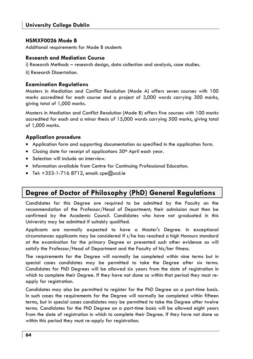### **HSMXF0026 Mode B**

Additional requirements for Mode B students

#### **Research and Mediation Course**

i) Research Methods – research design, data collection and analysis, case studies.

ii) Research Dissertation.

#### **Examination Regulations**

Masters in Mediation and Conflict Resolution (Mode A) offers seven courses with 100 marks accredited for each course and a project of 3,000 words carrying 300 marks, giving total of 1,000 marks.

Masters in Mediation and Conflict Resolution (Mode B) offers five courses with 100 marks accredited for each and a minor thesis of 15,000 words carrying 500 marks, giving total of 1,000 marks.

### **Application procedure**

- Application form and supporting documentation as specified in the application form.
- Closing date for receipt of applications 30<sup>th</sup> April each year.
- Selection will include an interview.
- Information available from Centre for Continuing Professional Education.
- $\bullet$  Tel:  $+353$ -1-716 8712, email: cpe $@$ ucd.ie

# **Degree of Doctor of Philosophy (PhD) General Regulations**

Candidates for this Degree are required to be admitted by the Faculty on the recommendation of the Professor/Head of Department; their admission must then be confirmed by the Academic Council. Candidates who have not graduated in this University may be admitted if suitably qualified.

Applicants are normally expected to have a Master's Degree. In exceptional circumstances applicants may be considered if s/he has reached a high Honours standard at the examination for the primary Degree or presented such other evidence as will satisfy the Professor/Head of Department and the Faculty of his/her fitness.

The requirements for the Degree will normally be completed within nine terms but in special cases candidates may be permitted to take the Degree after six terms. Candidates for PhD Degrees will be allowed six years from the date of registration in which to complete their Degree. If they have not done so within that period they must reapply for registration.

Candidates may also be permitted to register for the PhD Degree on a part-time basis. In such cases the requirements for the Degree will normally be completed within fifteen terms, but in special cases candidates may be permitted to take the Degree after twelve terms. Candidates for the PhD Degree on a part-time basis will be allowed eight years from the date of registration in which to complete their Degree. If they have not done so within this period they must re-apply for registration.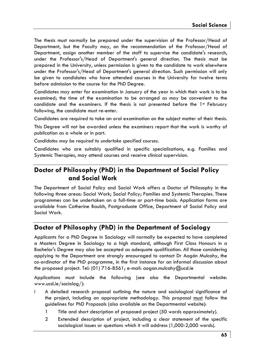The thesis must normally be prepared under the supervision of the Professor/Head of Department, but the Faculty may, on the recommendation of the Professor/Head of Department, assign another member of the staff to supervise the candidate's research, under the Professor's/Head of Department's general direction. The thesis must be prepared in the University, unless permission is given to the candidate to work elsewhere under the Professor's/Head of Department's general direction. Such permission will only be given to candidates who have attended courses in the University for twelve terms before admission to the course for the PhD Degree.

Candidates may enter for examination in January of the year in which their work is to be examined; the time of the examination to be arranged as may be convenient to the candidate and the examiners. If the thesis is not presented before the 1<sup>st</sup> February following, the candidate must re-enter.

Candidates are required to take an oral examination on the subject matter of their thesis.

This Degree will not be awarded unless the examiners report that the work is worthy of publication as a whole or in part.

*Candidates may be required to undertake specified courses.* 

Candidates who are suitably qualified in specific specialisations, e.g. Families and Systemic Therapies, may attend courses and receive clinical supervision.

# **Doctor of Philosophy (PhD) in the Department of Social Policy and Social Work**

The Department of Social Policy and Social Work offers a Doctor of Philosophy in the following three areas: Social Work; Social Policy; Families and Systemic Therapies. These programmes can be undertaken on a full-time or part-time basis. Application forms are available from Catherine Baulch, Postgraduate Office, Department of Social Policy and Social Work.

# **Doctor of Philosophy (PhD) in the Department of Sociology**

Applicants for a PhD Degree in Sociology will normally be expected to have completed a Masters Degree in Sociology to a high standard, although First Class Honours in a Bachelor's Degree may also be accepted as adequate qualification. All those considering applying to the Department are strongly encouraged to contact Dr Aogán Mulcahy, the co-ordinator of the PhD programme, in the first instance for an informal discussion about the proposed project. Tel: (01) 716-8561; e-mail: aogan.mulcahy@ucd.ie

Applications must include the following (see also the Departmental website: www.ucd.ie/sociolog/):

- A detailed research proposal outlining the nature and sociological significance of the project, including an appropriate methodology. This proposal must follow the guidelines for PhD Proposals (also available on the Departmental website):
	- 1 Title and short description of proposed project (50 words approximately).
	- 2 Extended description of project, including a clear statement of the specific sociological issues or questions which it will address (1,000-2,000 words).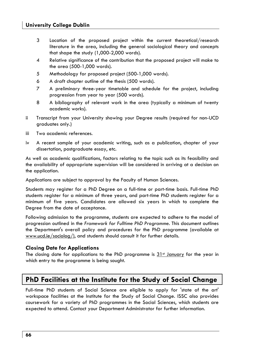- 3 Location of the proposed project within the current theoretical/research literature in the area, including the general sociological theory and concepts that shape the study (1,000-2,000 words).
- 4 Relative significance of the contribution that the proposed project will make to the area (500-1,000 words).
- 5 Methodology for proposed project (500-1,000 words).
- 6 A draft chapter outline of the thesis (500 words).
- 7 A preliminary three-year timetable and schedule for the project, including progression from year to year (500 words).
- 8 A bibliography of relevant work in the area (typically a minimum of twenty academic works).
- ii Transcript from your University showing your Degree results (required for non-UCD graduates only.)
- iii Two academic references.
- iv A recent sample of your academic writing, such as a publication, chapter of your dissertation, postgraduate essay, etc.

As well as academic qualifications, factors relating to the topic such as its feasibility and the availability of appropriate supervision will be considered in arriving at a decision on the application.

Applications are subject to approval by the Faculty of Human Sciences.

Students may register for a PhD Degree on a full-time or part-time basis. Full-time PhD students register for a minimum of three years, and part-time PhD students register for a minimum of five years. Candidates are allowed six years in which to complete the Degree from the date of acceptance.

Following admission to the programme, students are expected to adhere to the model of progression outlined in the *Framework for Fulltime PhD Programme*. This document outlines the Department's overall policy and procedures for the PhD programme (available at www.ucd.ie/sociolog/), and students should consult it for further details.

#### **Closing Date for Applications**

The closing date for applications to the PhD programme is  $31<sup>st</sup>$  January for the year in which entry to the programme is being sought.

# **PhD Facilities at the Institute for the Study of Social Change**

Full-time PhD students of Social Science are eligible to apply for 'state of the art' workspace facilities at the Institute for the Study of Social Change. ISSC also provides coursework for a variety of PhD programmes in the Social Sciences, which students are expected to attend. Contact your Department Administrator for further information.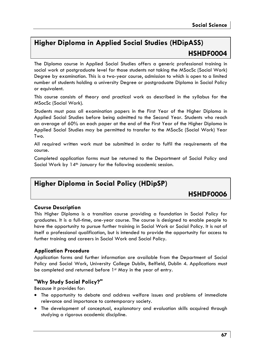# **Higher Diploma in Applied Social Studies (HDipASS) HSHDF0004**

The Diploma course in Applied Social Studies offers a generic professional training in social work at postgraduate level for those students not taking the MSocSc (Social Work) Degree by examination. This is a two-year course, admission to which is open to a limited number of students holding a university Degree or postgraduate Diploma in Social Policy or equivalent.

This course consists of theory and practical work as described in the syllabus for the MSocSc (Social Work).

Students must pass all examination papers in the First Year of the Higher Diploma in Applied Social Studies before being admitted to the Second Year. Students who reach an average of 60% on each paper at the end of the First Year of the Higher Diploma in Applied Social Studies may be permitted to transfer to the MSocSc (Social Work) Year Two.

All required written work must be submitted in order to fulfil the requirements of the course.

Completed application forms must be returned to the Department of Social Policy and Social Work by 14<sup>th</sup> January for the following academic session.

# **Higher Diploma in Social Policy (HDipSP)**

**HSHDF0006** 

### **Course Description**

This Higher Diploma is a transition course providing a foundation in Social Policy for graduates. It is a full-time, one-year course. The course is designed to enable people to have the opportunity to pursue further training in Social Work or Social Policy. It is not of itself a professional qualification, but is intended to provide the opportunity for access to further training and careers in Social Work and Social Policy.

### **Application Procedure**

Application forms and further information are available from the Department of Social Policy and Social Work, University College Dublin, Belfield, Dublin 4. Applications must be completed and returned before 1st May in the year of entry.

### **"Why Study Social Policy?"**

Because it provides for:

- The opportunity to debate and address welfare issues and problems of immediate relevance and importance to contemporary society.
- The development of conceptual, explanatory and evaluation skills acquired through studying a rigorous academic discipline.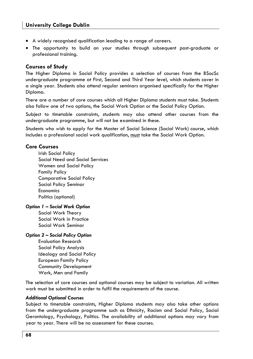- A widely recognised qualification leading to a range of careers.
- The opportunity to build on your studies through subsequent post-graduate or professional training.

#### **Courses of Study**

The Higher Diploma in Social Policy provides a selection of courses from the BSocSc undergraduate programme at First, Second and Third Year level, which students cover in a single year. Students also attend regular seminars organised specifically for the Higher Diploma.

There are a number of core courses which all Higher Diploma students must take. Students also follow one of two options, the Social Work Option or the Social Policy Option.

Subject to timetable constraints, students may also attend other courses from the undergraduate programme, but will not be examined in these.

Students who wish to apply for the Master of Social Science (Social Work) course, which includes a professional social work qualification, must take the Social Work Option.

### **Core Courses**

 Irish Social Policy Social Need and Social Services Women and Social Policy Family Policy Comparative Social Policy Social Policy Seminar **Economics** Politics (optional)

#### *Option 1 – Social Work Option*

 Social Work Theory Social Work in Practice Social Work Seminar

#### *Option 2 – Social Policy Option*

 Evaluation Research Social Policy Analysis Ideology and Social Policy European Family Policy Community Development Work, Men and Family

The selection of core courses and optional courses may be subject to variation. All written work must be submitted in order to fulfil the requirements of the course.

#### *Additional Optional Courses*

Subject to timetable constraints, Higher Diploma students may also take other options from the undergraduate programme such as Ethnicity, Racism and Social Policy, Social Gerontology, Psychology, Politics. The availability of additional options may vary from year to year. There will be no assessment for these courses.